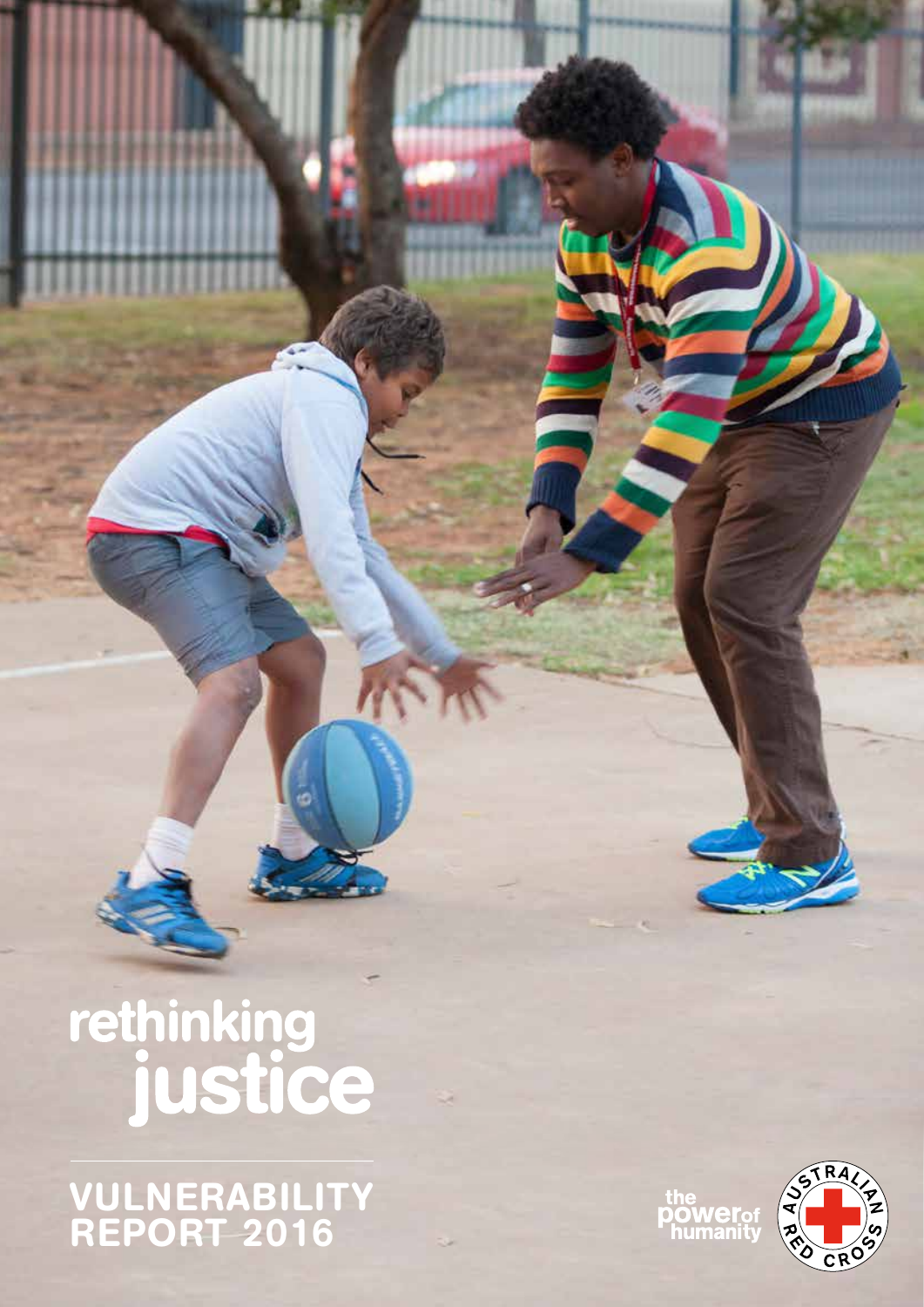rethinking<br>justice

VULNERABILITY REPORT 2016

the<br>**power**of<br>humanity



VULNERABILITY REPORT 2016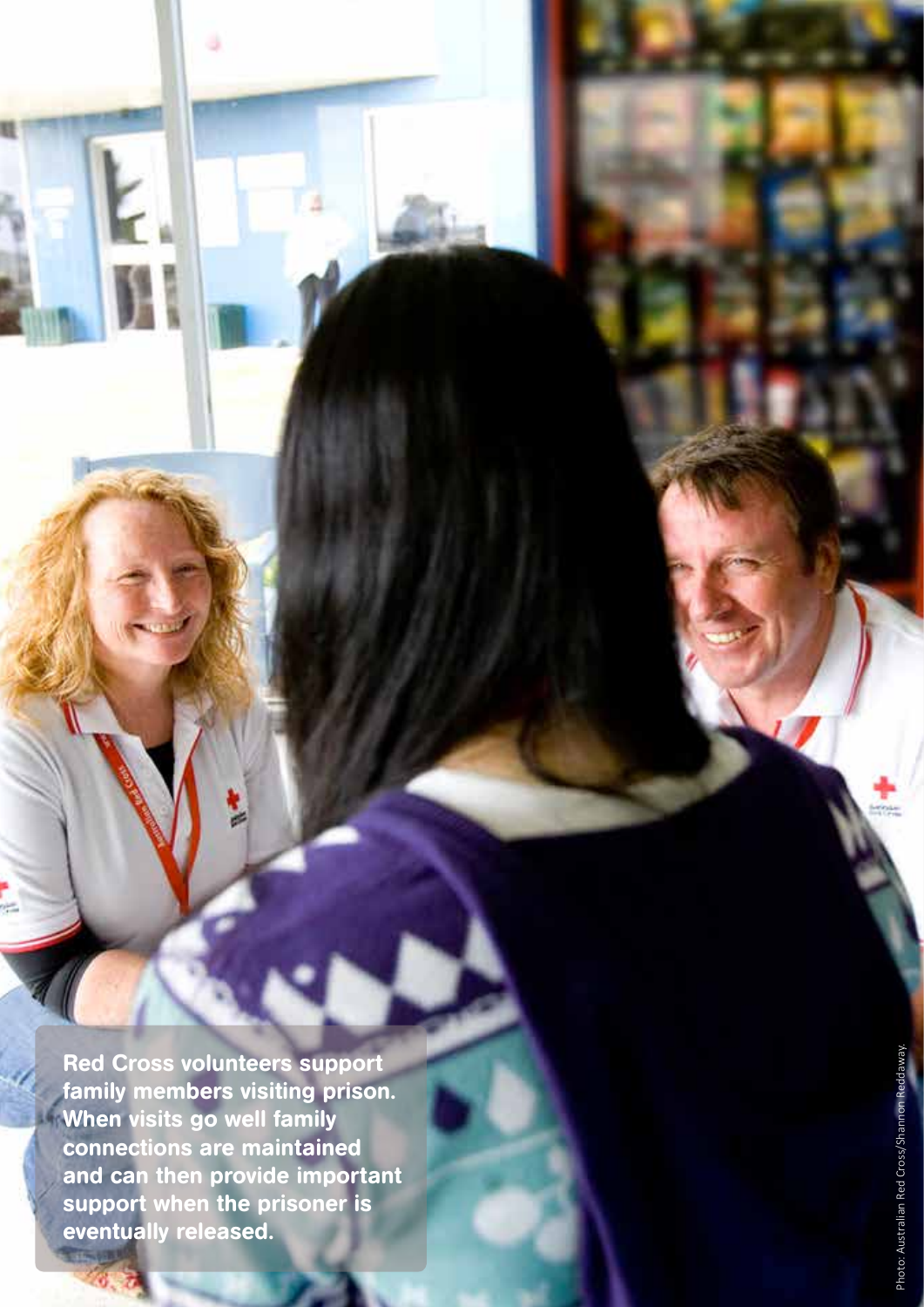Red Cross volunteers support family members visiting prison. When visits go well family connections are maintained and can then provide important support when the prisoner is eventually released.

2 | VULNERABILITY REPORT 2016

E.

t.<br>G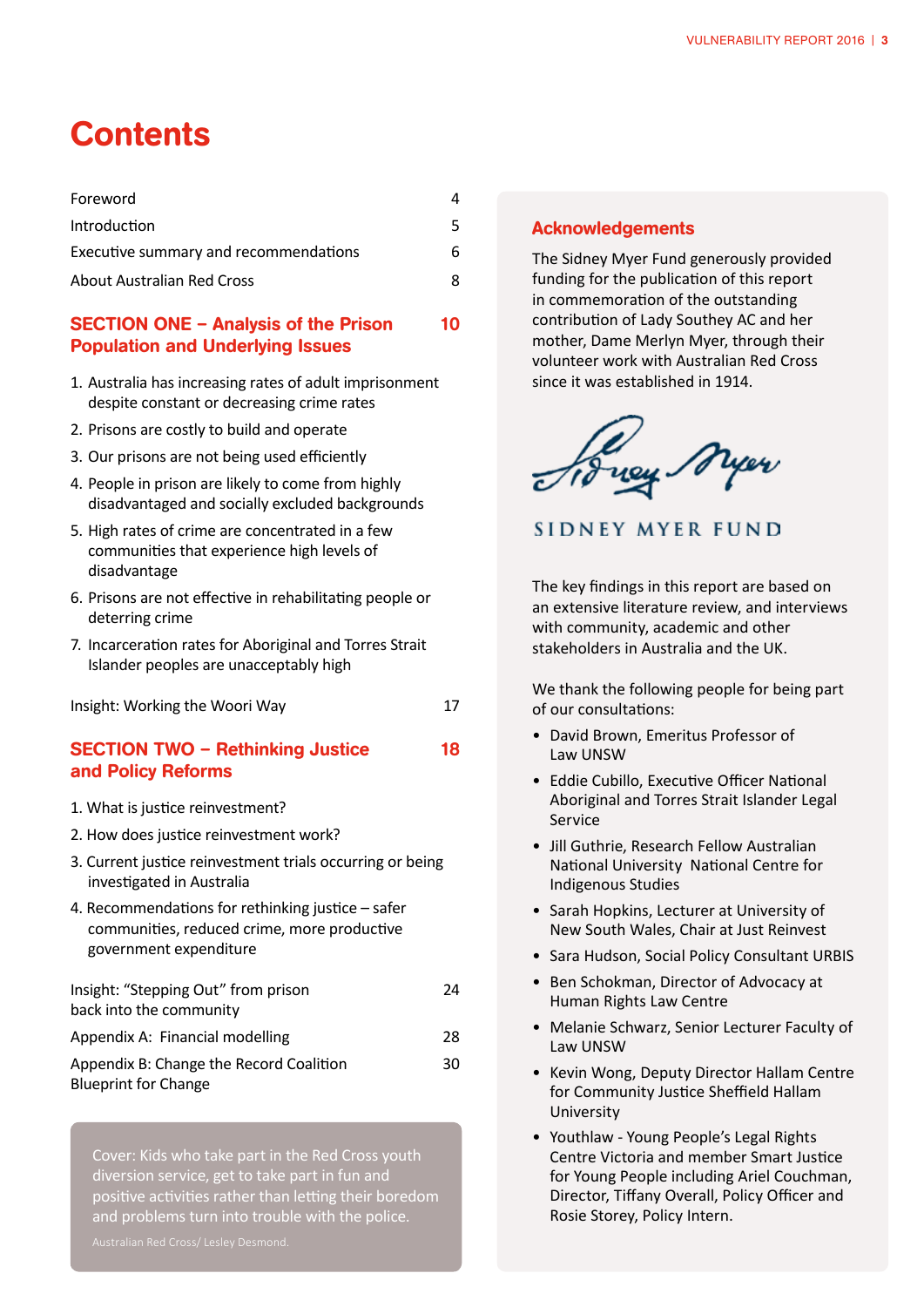## **Contents**

| Foreword                              |   |
|---------------------------------------|---|
| <b>Introduction</b>                   |   |
| Executive summary and recommendations | 6 |
| <b>About Australian Red Cross</b>     | Ջ |

#### SECTION ONE – Analysis of the Prison 10 Population and Underlying Issues

- 1. Australia has increasing rates of adult imprisonment despite constant or decreasing crime rates
- 2. Prisons are costly to build and operate
- 3. Our prisons are not being used efficiently
- 4. People in prison are likely to come from highly disadvantaged and socially excluded backgrounds
- 5. High rates of crime are concentrated in a few communities that experience high levels of disadvantage
- 6. Prisons are not effective in rehabilitating people or deterring crime
- 7. Incarceration rates for Aboriginal and Torres Strait Islander peoples are unacceptably high

Insight: Working the Woori Way **17** 

#### SECTION TWO - Rethinking Justice 18 and Policy Reforms

- 1. What is justice reinvestment?
- 2. How does justice reinvestment work?
- 3. Current justice reinvestment trials occurring or being investigated in Australia
- 4. Recommendations for rethinking justice safer communities, reduced crime, more productive government expenditure

| Insight: "Stepping Out" from prison     | 24 |
|-----------------------------------------|----|
| back into the community                 |    |
| Appendix A: Financial modelling         | 28 |
| Appendix B: Change the Record Coalition | 30 |
| <b>Blueprint for Change</b>             |    |

Cover: Kids who take part in the Red Cross youth diversion service, get to take part in fun and positive activities rather than letting their boredom and problems turn into trouble with the police.

#### Acknowledgements

The Sidney Myer Fund generously provided funding for the publication of this report in commemoration of the outstanding contribution of Lady Southey AC and her mother, Dame Merlyn Myer, through their volunteer work with Australian Red Cross since it was established in 1914.

Frey Myer

SIDNEY MYER FUND

The key findings in this report are based on an extensive literature review, and interviews with community, academic and other stakeholders in Australia and the UK.

We thank the following people for being part of our consultations:

- • David Brown, Emeritus Professor of Law UNSW
- Eddie Cubillo, Executive Officer National Aboriginal and Torres Strait Islander Legal Service
- Jill Guthrie, Research Fellow Australian National University National Centre for Indigenous Studies
- Sarah Hopkins, Lecturer at University of New South Wales, Chair at Just Reinvest
- Sara Hudson, Social Policy Consultant URBIS
- • Ben Schokman, Director of Advocacy at Human Rights Law Centre
- Melanie Schwarz, Senior Lecturer Faculty of Law UNSW
- • Kevin Wong, Deputy Director Hallam Centre for Community Justice Sheffield Hallam University
- • Youthlaw Young People's Legal Rights Centre Victoria and member Smart Justice for Young People including Ariel Couchman, Director, Tiffany Overall, Policy Officer and Rosie Storey, Policy Intern.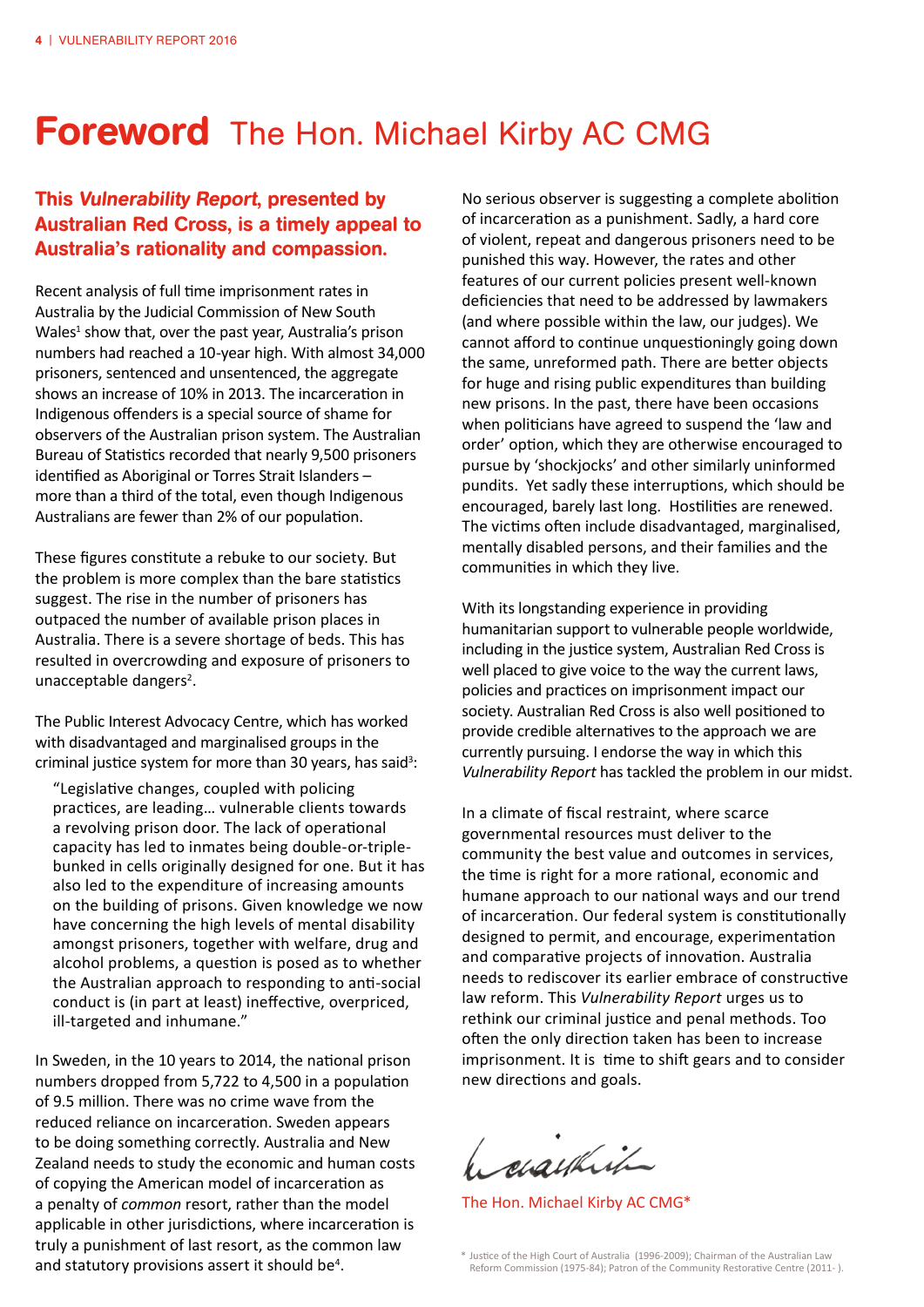## Foreword The Hon. Michael Kirby AC CMG

### This Vulnerability Report, presented by Australian Red Cross, is a timely appeal to Australia's rationality and compassion.

Recent analysis of full time imprisonment rates in Australia by the Judicial Commission of New South Wales<sup>1</sup> show that, over the past year, Australia's prison numbers had reached a 10-year high. With almost 34,000 prisoners, sentenced and unsentenced, the aggregate shows an increase of 10% in 2013. The incarceration in Indigenous offenders is a special source of shame for observers of the Australian prison system. The Australian Bureau of Statistics recorded that nearly 9,500 prisoners identified as Aboriginal or Torres Strait Islanders – more than a third of the total, even though Indigenous Australians are fewer than 2% of our population.

These figures constitute a rebuke to our society. But the problem is more complex than the bare statistics suggest. The rise in the number of prisoners has outpaced the number of available prison places in Australia. There is a severe shortage of beds. This has resulted in overcrowding and exposure of prisoners to unacceptable dangers<sup>2</sup>.

The Public Interest Advocacy Centre, which has worked with disadvantaged and marginalised groups in the criminal justice system for more than 30 years, has said<sup>3</sup>:

 "Legislative changes, coupled with policing practices, are leading… vulnerable clients towards a revolving prison door. The lack of operational capacity has led to inmates being double-or-triplebunked in cells originally designed for one. But it has also led to the expenditure of increasing amounts on the building of prisons. Given knowledge we now have concerning the high levels of mental disability amongst prisoners, together with welfare, drug and alcohol problems, a question is posed as to whether the Australian approach to responding to anti-social conduct is (in part at least) ineffective, overpriced, ill-targeted and inhumane."

In Sweden, in the 10 years to 2014, the national prison numbers dropped from 5,722 to 4,500 in a population of 9.5 million. There was no crime wave from the reduced reliance on incarceration. Sweden appears to be doing something correctly. Australia and New Zealand needs to study the economic and human costs of copying the American model of incarceration as a penalty of *common* resort, rather than the model applicable in other jurisdictions, where incarceration is truly a punishment of last resort, as the common law and statutory provisions assert it should be<sup>4</sup>.

No serious observer is suggesting a complete abolition of incarceration as a punishment. Sadly, a hard core of violent, repeat and dangerous prisoners need to be punished this way. However, the rates and other features of our current policies present well-known deficiencies that need to be addressed by lawmakers (and where possible within the law, our judges). We cannot afford to continue unquestioningly going down the same, unreformed path. There are better objects for huge and rising public expenditures than building new prisons. In the past, there have been occasions when politicians have agreed to suspend the 'law and order' option, which they are otherwise encouraged to pursue by 'shockjocks' and other similarly uninformed pundits. Yet sadly these interruptions, which should be encouraged, barely last long. Hostilities are renewed. The victims often include disadvantaged, marginalised, mentally disabled persons, and their families and the communities in which they live.

With its longstanding experience in providing humanitarian support to vulnerable people worldwide, including in the justice system, Australian Red Cross is well placed to give voice to the way the current laws, policies and practices on imprisonment impact our society. Australian Red Cross is also well positioned to provide credible alternatives to the approach we are currently pursuing. I endorse the way in which this *Vulnerability Report* has tackled the problem in our midst.

In a climate of fiscal restraint, where scarce governmental resources must deliver to the community the best value and outcomes in services, the time is right for a more rational, economic and humane approach to our national ways and our trend of incarceration. Our federal system is constitutionally designed to permit, and encourage, experimentation and comparative projects of innovation. Australia needs to rediscover its earlier embrace of constructive law reform. This *Vulnerability Report* urges us to rethink our criminal justice and penal methods. Too often the only direction taken has been to increase imprisonment. It is time to shift gears and to consider new directions and goals.

1. siaukit

The Hon. Michael Kirby AC CMG\*

. \* Justice of the High Court of Australia (1996-2009); Chairman of the Australian Law Reform Commission (1975-84); Patron of the Community Restorative Centre (2011- ).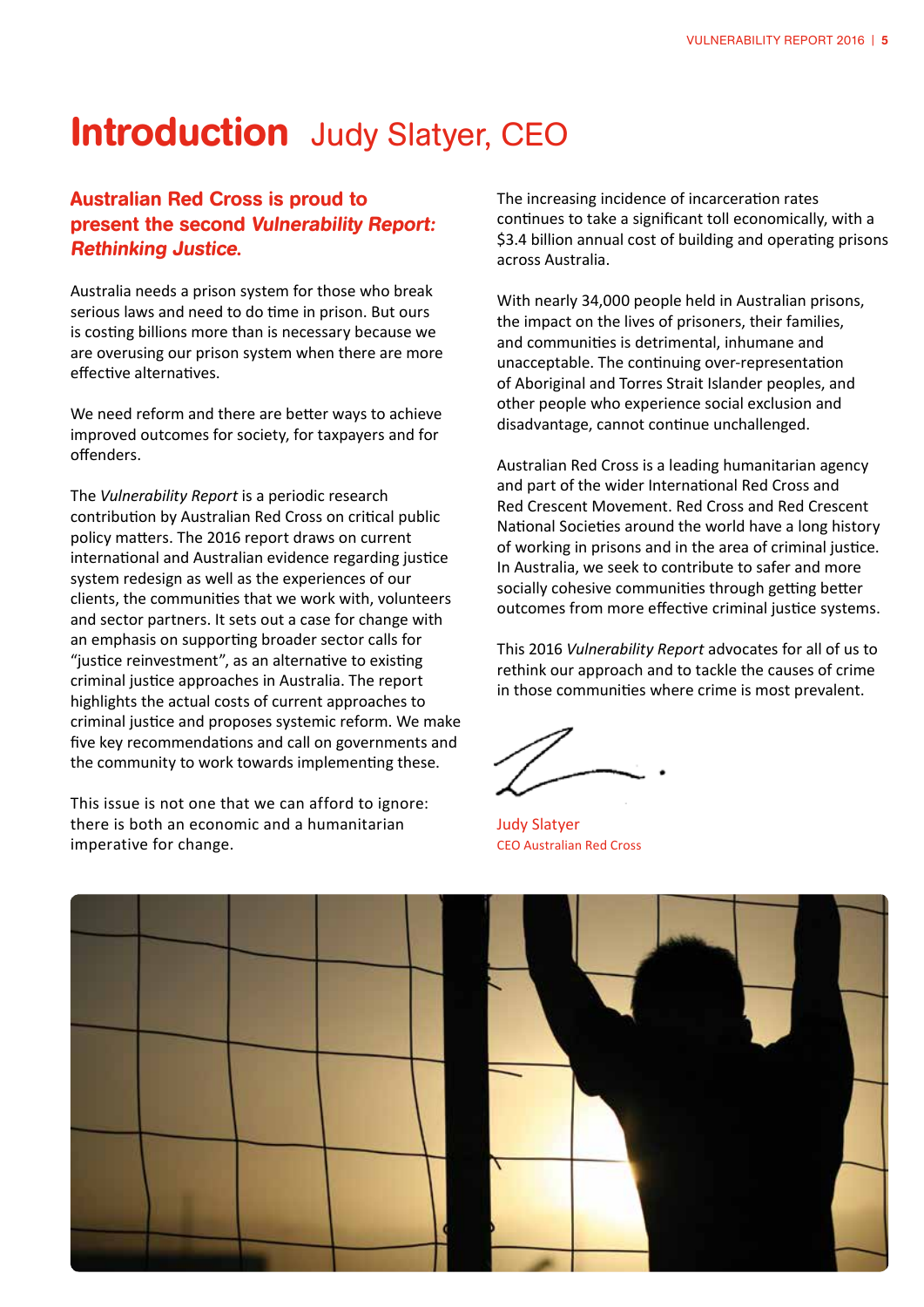## **Introduction** Judy Slatyer, CEO

### Australian Red Cross is proud to present the second Vulnerability Report: Rethinking Justice.

Australia needs a prison system for those who break serious laws and need to do time in prison. But ours is costing billions more than is necessary because we are overusing our prison system when there are more effective alternatives.

We need reform and there are better ways to achieve improved outcomes for society, for taxpayers and for offenders.

The *Vulnerability Report* is a periodic research contribution by Australian Red Cross on critical public policy matters. The 2016 report draws on current international and Australian evidence regarding justice system redesign as well as the experiences of our clients, the communities that we work with, volunteers and sector partners. It sets out a case for change with an emphasis on supporting broader sector calls for "justice reinvestment", as an alternative to existing criminal justice approaches in Australia. The report highlights the actual costs of current approaches to criminal justice and proposes systemic reform. We make five key recommendations and call on governments and the community to work towards implementing these.

This issue is not one that we can afford to ignore: there is both an economic and a humanitarian imperative for change.

The increasing incidence of incarceration rates continues to take a significant toll economically, with a \$3.4 billion annual cost of building and operating prisons across Australia.

With nearly 34,000 people held in Australian prisons, the impact on the lives of prisoners, their families, and communities is detrimental, inhumane and unacceptable. The continuing over-representation of Aboriginal and Torres Strait Islander peoples, and other people who experience social exclusion and disadvantage, cannot continue unchallenged.

Australian Red Cross is a leading humanitarian agency and part of the wider International Red Cross and Red Crescent Movement. Red Cross and Red Crescent National Societies around the world have a long history of working in prisons and in the area of criminal justice. In Australia, we seek to contribute to safer and more socially cohesive communities through getting better outcomes from more effective criminal justice systems.

This 2016 *Vulnerability Report* advocates for all of us to rethink our approach and to tackle the causes of crime in those communities where crime is most prevalent.

Judy Slatyer CEO Australian Red Cross

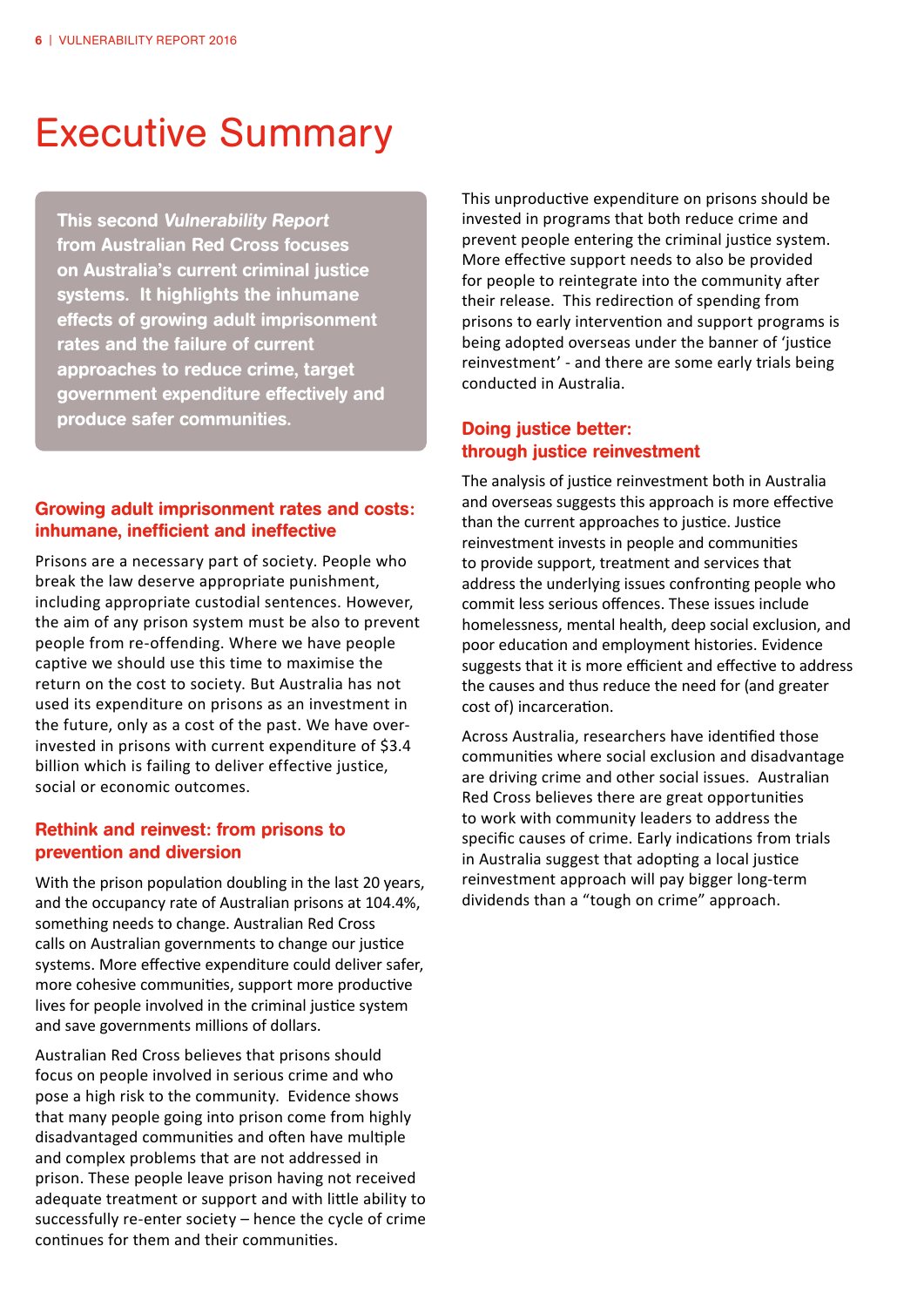## Executive Summary

This second Vulnerability Report from Australian Red Cross focuses on Australia's current criminal justice systems. It highlights the inhumane effects of growing adult imprisonment rates and the failure of current approaches to reduce crime, target government expenditure effectively and produce safer communities.

#### Growing adult imprisonment rates and costs: inhumane, inefficient and ineffective

Prisons are a necessary part of society. People who break the law deserve appropriate punishment, including appropriate custodial sentences. However, the aim of any prison system must be also to prevent people from re-offending. Where we have people captive we should use this time to maximise the return on the cost to society. But Australia has not used its expenditure on prisons as an investment in the future, only as a cost of the past. We have overinvested in prisons with current expenditure of \$3.4 billion which is failing to deliver effective justice, social or economic outcomes.

#### Rethink and reinvest: from prisons to prevention and diversion

With the prison population doubling in the last 20 years, and the occupancy rate of Australian prisons at 104.4%, something needs to change. Australian Red Cross calls on Australian governments to change our justice systems. More effective expenditure could deliver safer, more cohesive communities, support more productive lives for people involved in the criminal justice system and save governments millions of dollars.

Australian Red Cross believes that prisons should focus on people involved in serious crime and who pose a high risk to the community. Evidence shows that many people going into prison come from highly disadvantaged communities and often have multiple and complex problems that are not addressed in prison. These people leave prison having not received adequate treatment or support and with little ability to successfully re-enter society – hence the cycle of crime continues for them and their communities.

This unproductive expenditure on prisons should be invested in programs that both reduce crime and prevent people entering the criminal justice system. More effective support needs to also be provided for people to reintegrate into the community after their release. This redirection of spending from prisons to early intervention and support programs is being adopted overseas under the banner of 'justice reinvestment' - and there are some early trials being conducted in Australia.

#### Doing justice better: through justice reinvestment

The analysis of justice reinvestment both in Australia and overseas suggests this approach is more effective than the current approaches to justice. Justice reinvestment invests in people and communities to provide support, treatment and services that address the underlying issues confronting people who commit less serious offences. These issues include homelessness, mental health, deep social exclusion, and poor education and employment histories. Evidence suggests that it is more efficient and effective to address the causes and thus reduce the need for (and greater cost of) incarceration.

Across Australia, researchers have identified those communities where social exclusion and disadvantage are driving crime and other social issues. Australian Red Cross believes there are great opportunities to work with community leaders to address the specific causes of crime. Early indications from trials in Australia suggest that adopting a local justice reinvestment approach will pay bigger long-term dividends than a "tough on crime" approach.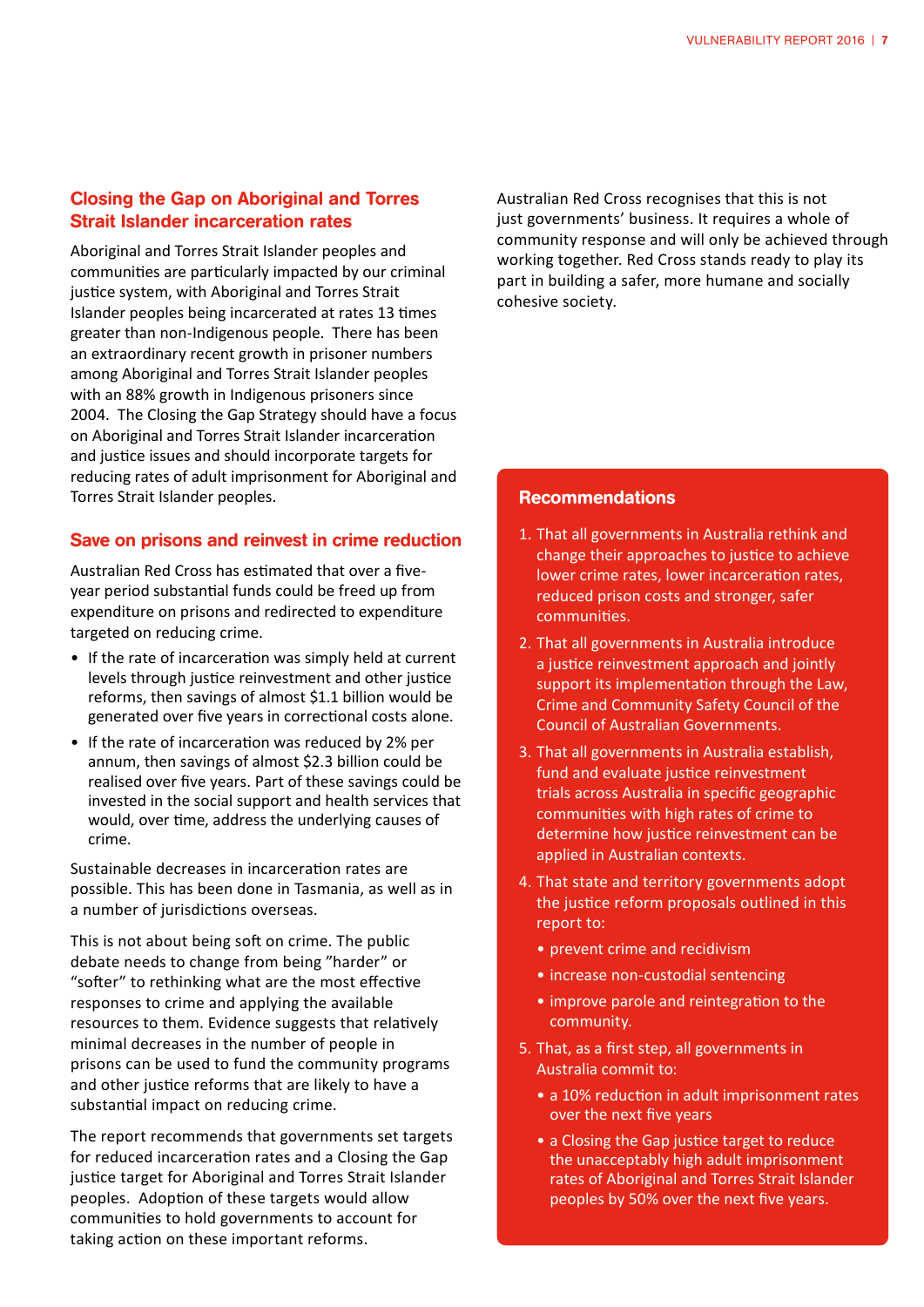#### Closing the Gap on Aboriginal and Torres Strait Islander incarceration rates

Aboriginal and Torres Strait Islander peoples and communities are particularly impacted by our criminal justice system, with Aboriginal and Torres Strait Islander peoples being incarcerated at rates 13 times greater than non-Indigenous people. There has been an extraordinary recent growth in prisoner numbers among Aboriginal and Torres Strait Islander peoples with an 88% growth in Indigenous prisoners since 2004. The Closing the Gap Strategy should have a focus on Aboriginal and Torres Strait Islander incarceration and justice issues and should incorporate targets for reducing rates of adult imprisonment for Aboriginal and Torres Strait Islander peoples.

#### Save on prisons and reinvest in crime reduction

Australian Red Cross has estimated that over a fiveyear period substantial funds could be freed up from expenditure on prisons and redirected to expenditure targeted on reducing crime.

- If the rate of incarceration was simply held at current levels through justice reinvestment and other justice reforms, then savings of almost \$1.1 billion would be generated over five years in correctional costs alone.
- If the rate of incarceration was reduced by 2% per annum, then savings of almost \$2.3 billion could be realised over five years. Part of these savings could be invested in the social support and health services that would, over time, address the underlying causes of crime.

Sustainable decreases in incarceration rates are possible. This has been done in Tasmania, as well as in a number of jurisdictions overseas.

This is not about being soft on crime. The public debate needs to change from being "harder" or "softer" to rethinking what are the most effective responses to crime and applying the available resources to them. Evidence suggests that relatively minimal decreases in the number of people in prisons can be used to fund the community programs and other justice reforms that are likely to have a substantial impact on reducing crime.

The report recommends that governments set targets for reduced incarceration rates and a Closing the Gap justice target for Aboriginal and Torres Strait Islander peoples. Adoption of these targets would allow communities to hold governments to account for taking action on these important reforms.

Australian Red Cross recognises that this is not just governments' business. It requires a whole of community response and will only be achieved through working together. Red Cross stands ready to play its part in building a safer, more humane and socially cohesive society.

#### Recommendations

- 1. That all governments in Australia rethink and change their approaches to justice to achieve lower crime rates, lower incarceration rates, reduced prison costs and stronger, safer communities.
- 2. That all governments in Australia introduce a justice reinvestment approach and jointly support its implementation through the Law, Crime and Community Safety Council of the Council of Australian Governments.
- 3. That all governments in Australia establish, fund and evaluate justice reinvestment trials across Australia in specific geographic communities with high rates of crime to determine how justice reinvestment can be applied in Australian contexts.
- 4. That state and territory governments adopt the justice reform proposals outlined in this report to:
	- prevent crime and recidivism
	- increase non-custodial sentencing
	- improve parole and reintegration to the community.
- 5. That, as a first step, all governments in Australia commit to:
	- a 10% reduction in adult imprisonment rates over the next five years
	- a Closing the Gap justice target to reduce the unacceptably high adult imprisonment rates of Aboriginal and Torres Strait Islander peoples by 50% over the next five years.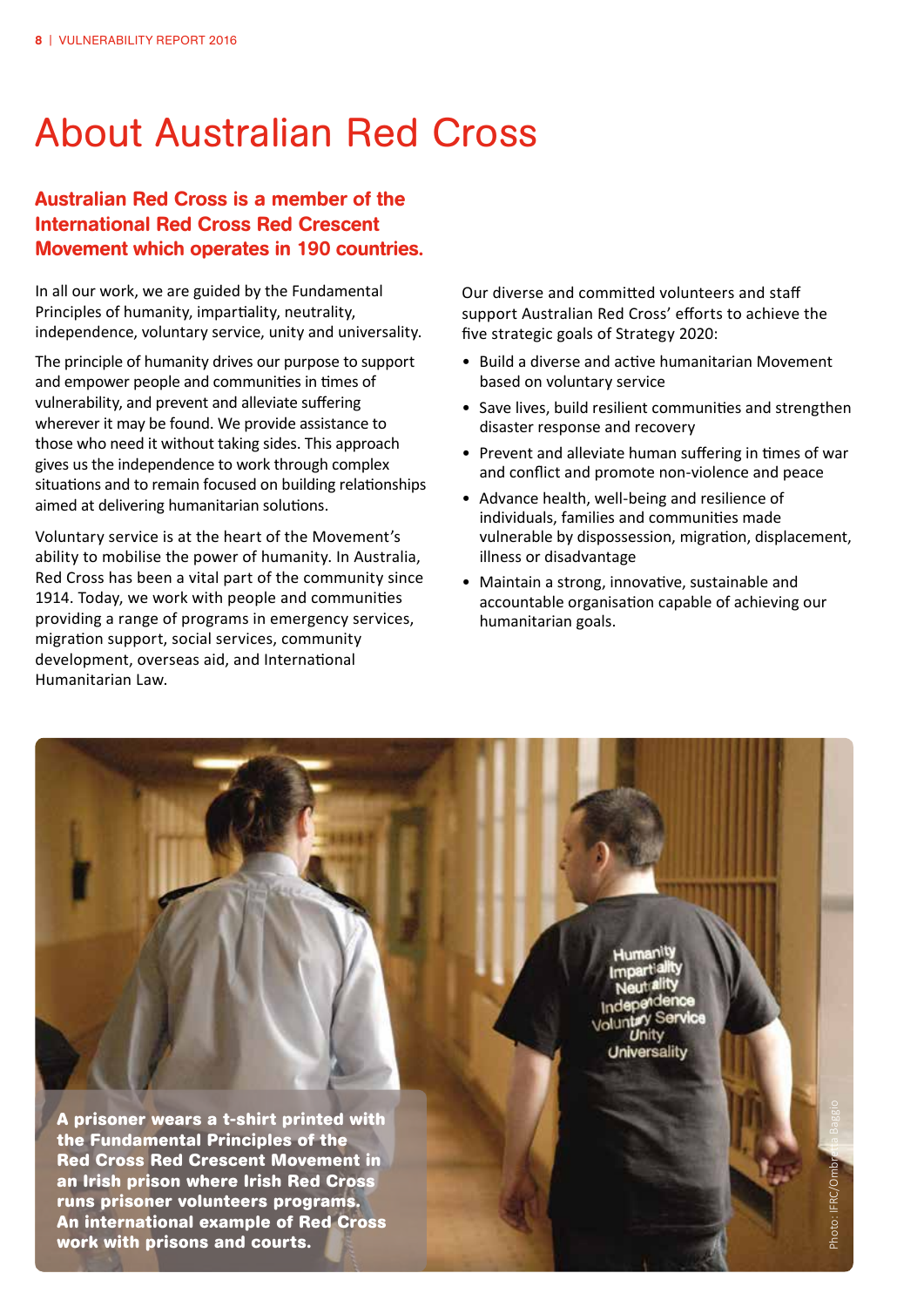## About Australian Red Cross

### Australian Red Cross is a member of the International Red Cross Red Crescent Movement which operates in 190 countries.

In all our work, we are guided by the Fundamental Principles of humanity, impartiality, neutrality, independence, voluntary service, unity and universality.

The principle of humanity drives our purpose to support and empower people and communities in times of vulnerability, and prevent and alleviate suffering wherever it may be found. We provide assistance to those who need it without taking sides. This approach gives us the independence to work through complex situations and to remain focused on building relationships aimed at delivering humanitarian solutions.

Voluntary service is at the heart of the Movement's ability to mobilise the power of humanity. In Australia, Red Cross has been a vital part of the community since 1914. Today, we work with people and communities providing a range of programs in emergency services, migration support, social services, community development, overseas aid, and International Humanitarian Law.

Our diverse and committed volunteers and staff support Australian Red Cross' efforts to achieve the five strategic goals of Strategy 2020:

- Build a diverse and active humanitarian Movement based on voluntary service
- Save lives, build resilient communities and strengthen disaster response and recovery
- Prevent and alleviate human suffering in times of war and conflict and promote non-violence and peace
- Advance health, well-being and resilience of individuals, families and communities made vulnerable by dispossession, migration, displacement, illness or disadvantage
- Maintain a strong, innovative, sustainable and accountable organisation capable of achieving our humanitarian goals.

**A prisoner wears a t-shirt printed with the Fundamental Principles of the Red Cross Red Crescent Movement in an Irish prison where Irish Red Cross runs prisoner volunteers programs. An international example of Red Cross work with prisons and courts.** 

Service Unity Universality

Photo: IFRC/Ombretta Baggio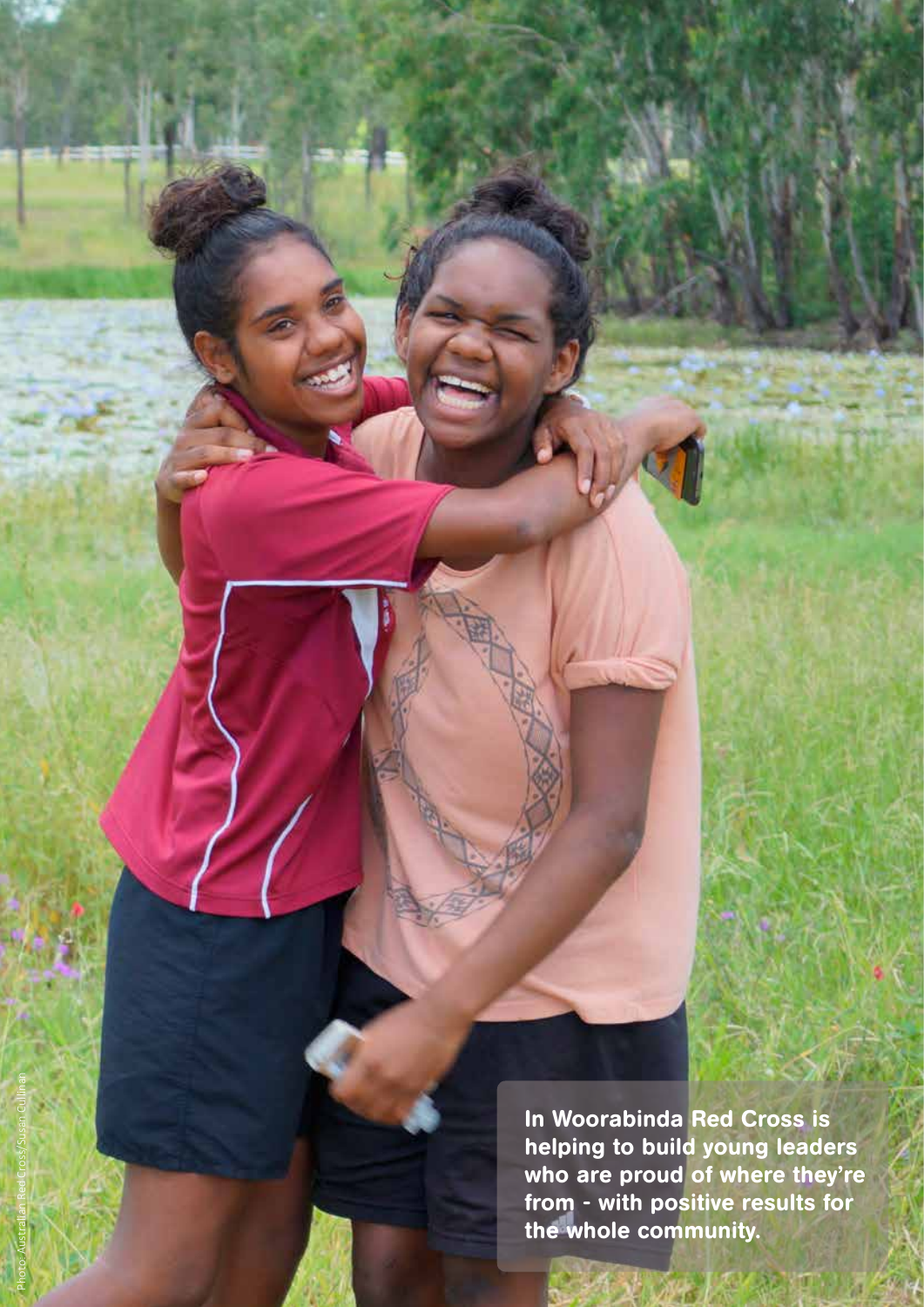In Woorabinda Red Cross is helping to build young leaders who are proud of where they're from - with positive results for the whole community.

Photo: Australian Red Cross/Susan Cullinan

VULNERABILITY REPORT 2016 | 9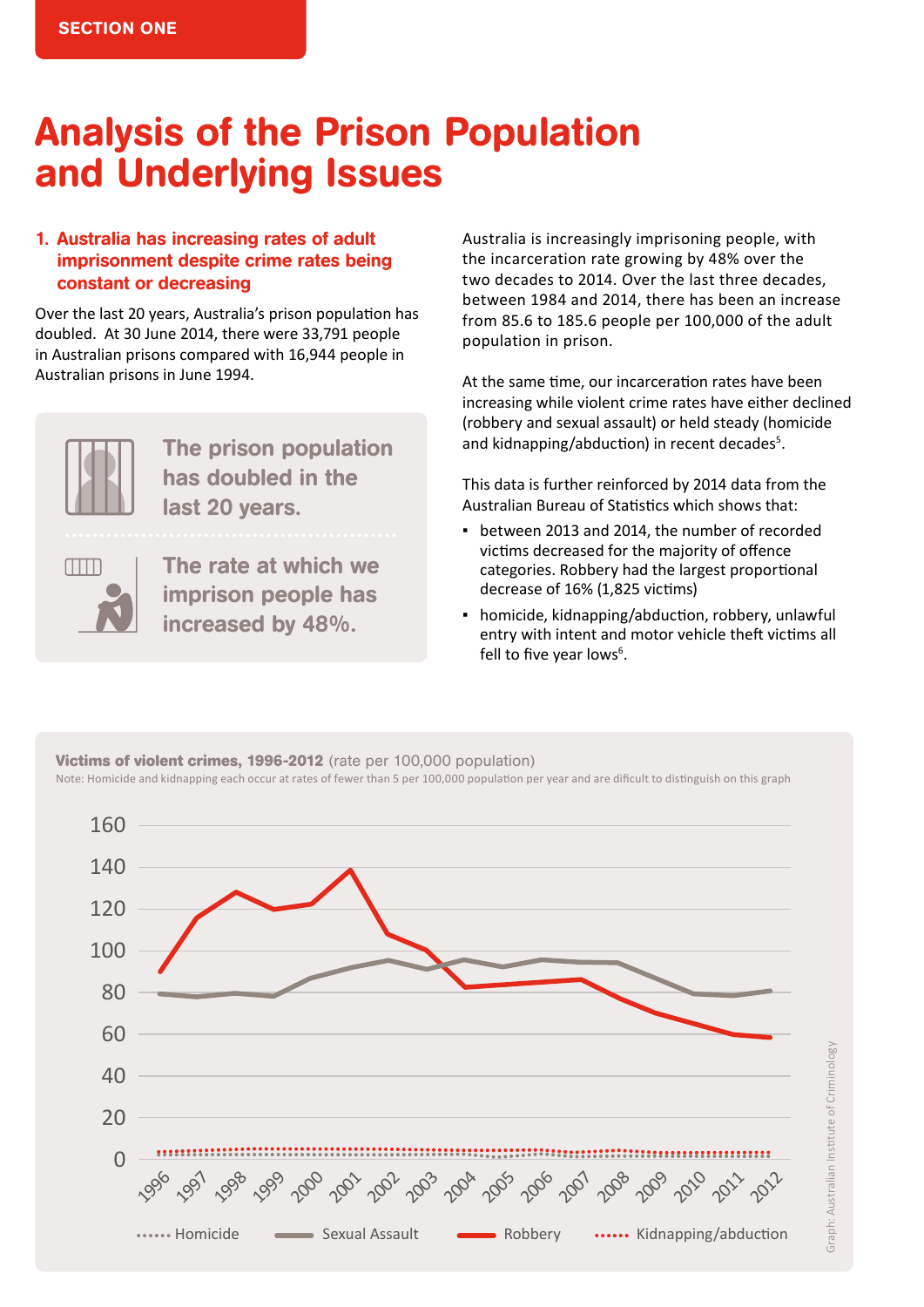## Analysis of the Prison Population and Underlying Issues

### 1. Australia has increasing rates of adult imprisonment despite crime rates being constant or decreasing

Over the last 20 years, Australia's prison population has doubled. At 30 June 2014, there were 33,791 people in Australian prisons compared with 16,944 people in Australian prisons in June 1994.



The prison population has doubled in the last 20 years.



The rate at which we imprison people has increased by 48%.

Australia is increasingly imprisoning people, with the incarceration rate growing by 48% over the two decades to 2014. Over the last three decades, between 1984 and 2014, there has been an increase from 85.6 to 185.6 people per 100,000 of the adult population in prison.

At the same time, our incarceration rates have been increasing while violent crime rates have either declined (robbery and sexual assault) or held steady (homicide and kidnapping/abduction) in recent decades<sup>5</sup>.

This data is further reinforced by 2014 data from the Australian Bureau of Statistics which shows that:

- between 2013 and 2014, the number of recorded victims decreased for the majority of offence categories. Robbery had the largest proportional decrease of 16% (1,825 victims)
- **•** homicide, kidnapping/abduction, robbery, unlawful entry with intent and motor vehicle theft victims all fell to five year lows<sup>6</sup>.

**Victims of violent crimes, 1996-2012** (rate per 100,000 population) Note: Homicide and kidnapping each occur at rates of fewer than 5 per 100,000 population per year and are dificult to distinguish on this graph

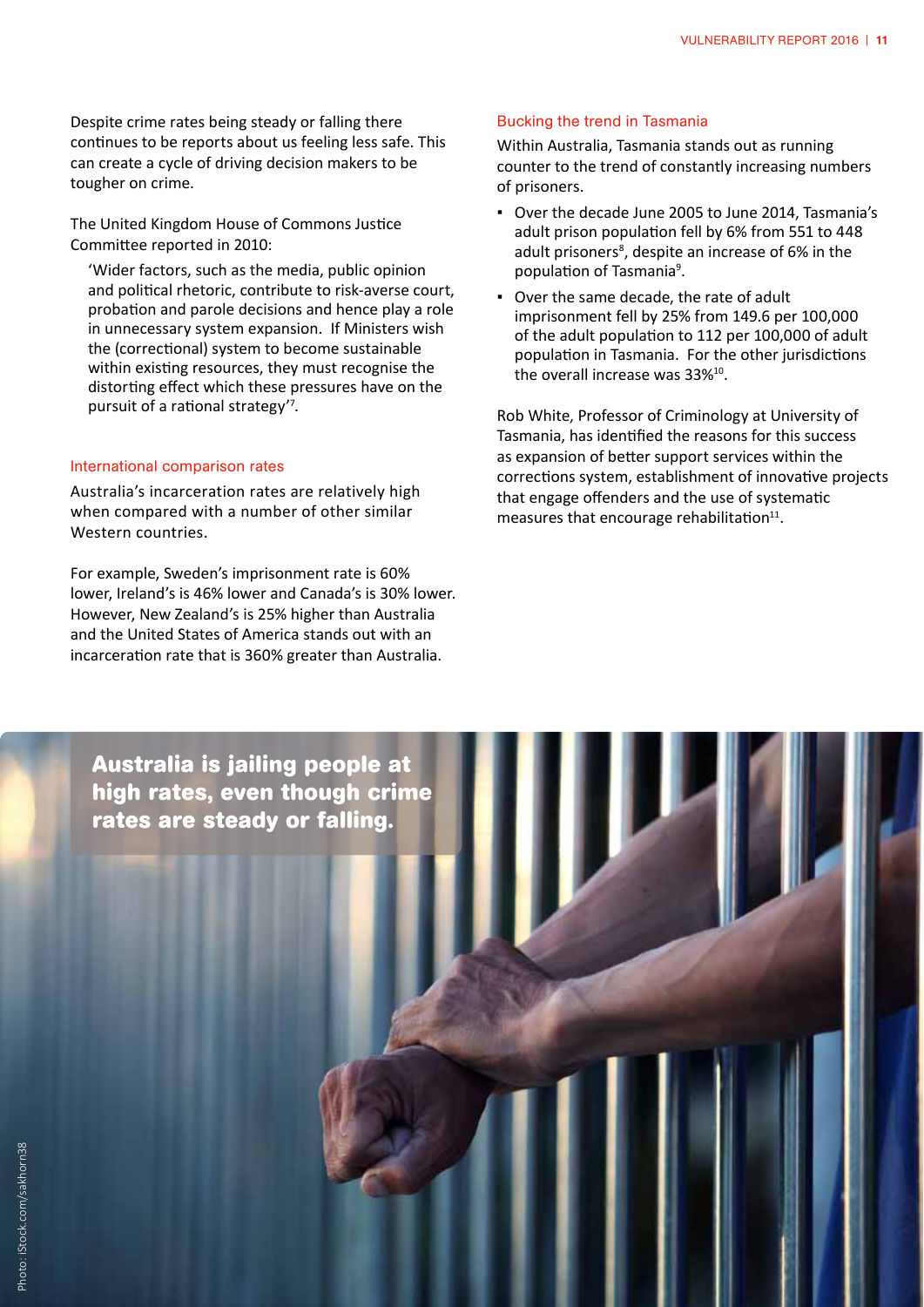Despite crime rates being steady or falling there continues to be reports about us feeling less safe. This can create a cycle of driving decision makers to be tougher on crime.

The United Kingdom House of Commons Justice Committee reported in 2010:

 'Wider factors, such as the media, public opinion and political rhetoric, contribute to risk-averse court, probation and parole decisions and hence play a role in unnecessary system expansion. If Ministers wish the (correctional) system to become sustainable within existing resources, they must recognise the distorting effect which these pressures have on the pursuit of a rational strategy'<sup>7</sup> .

#### International comparison rates

Australia's incarceration rates are relatively high when compared with a number of other similar Western countries.

For example, Sweden's imprisonment rate is 60% lower, Ireland's is 46% lower and Canada's is 30% lower. However, New Zealand's is 25% higher than Australia and the United States of America stands out with an incarceration rate that is 360% greater than Australia.

#### Bucking the trend in Tasmania

Within Australia, Tasmania stands out as running counter to the trend of constantly increasing numbers of prisoners.

- Over the decade June 2005 to June 2014, Tasmania's adult prison population fell by 6% from 551 to 448 adult prisoners<sup>8</sup>, despite an increase of 6% in the population of Tasmania<sup>9</sup>.
- Over the same decade, the rate of adult imprisonment fell by 25% from 149.6 per 100,000 of the adult population to 112 per 100,000 of adult population in Tasmania. For the other jurisdictions the overall increase was 33%<sup>10</sup>.

Rob White, Professor of Criminology at University of Tasmania, has identified the reasons for this success as expansion of better support services within the corrections system, establishment of innovative projects that engage offenders and the use of systematic measures that encourage rehabilitation $11$ .

**Australia is jailing people at high rates, even though crime rates are steady or falling.**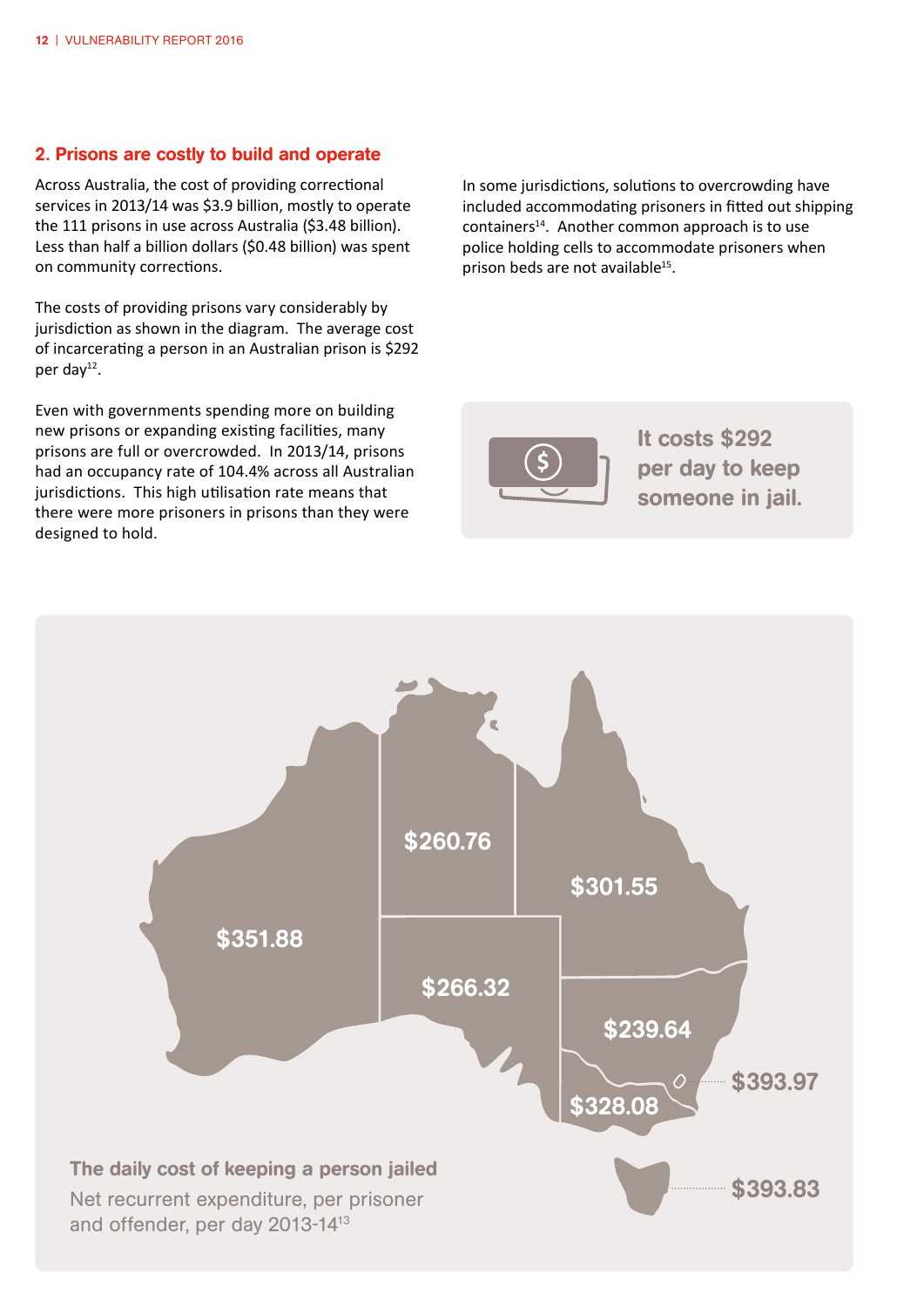#### 2. Prisons are costly to build and operate

Across Australia, the cost of providing correctional services in 2013/14 was \$3.9 billion, mostly to operate the 111 prisons in use across Australia (\$3.48 billion). Less than half a billion dollars (\$0.48 billion) was spent on community corrections.

The costs of providing prisons vary considerably by jurisdiction as shown in the diagram. The average cost of incarcerating a person in an Australian prison is \$292 per day $^{12}$ .

Even with governments spending more on building new prisons or expanding existing facilities, many prisons are full or overcrowded. In 2013/14, prisons had an occupancy rate of 104.4% across all Australian jurisdictions. This high utilisation rate means that there were more prisoners in prisons than they were designed to hold.

In some jurisdictions, solutions to overcrowding have included accommodating prisoners in fitted out shipping containers<sup>14</sup>. Another common approach is to use police holding cells to accommodate prisoners when prison beds are not available<sup>15</sup>.



It costs \$292 per day to keep someone in jail.

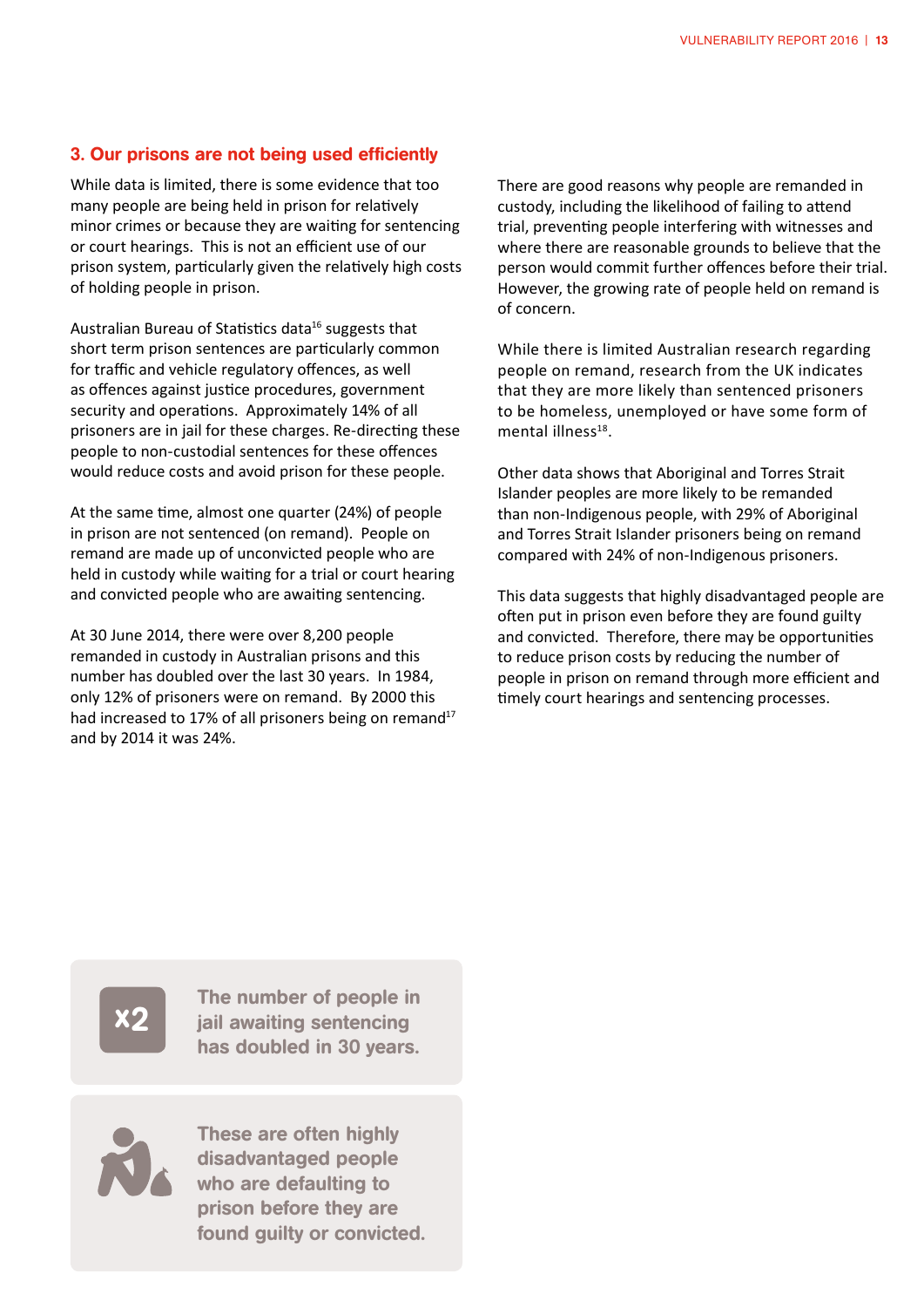#### 3. Our prisons are not being used efficiently

While data is limited, there is some evidence that too many people are being held in prison for relatively minor crimes or because they are waiting for sentencing or court hearings. This is not an efficient use of our prison system, particularly given the relatively high costs of holding people in prison.

Australian Bureau of Statistics data<sup>16</sup> suggests that short term prison sentences are particularly common for traffic and vehicle regulatory offences, as well as offences against justice procedures, government security and operations. Approximately 14% of all prisoners are in jail for these charges. Re-directing these people to non-custodial sentences for these offences would reduce costs and avoid prison for these people.

At the same time, almost one quarter (24%) of people in prison are not sentenced (on remand). People on remand are made up of unconvicted people who are held in custody while waiting for a trial or court hearing and convicted people who are awaiting sentencing.

At 30 June 2014, there were over 8,200 people remanded in custody in Australian prisons and this number has doubled over the last 30 years. In 1984, only 12% of prisoners were on remand. By 2000 this had increased to 17% of all prisoners being on remand<sup>17</sup> and by 2014 it was 24%.

There are good reasons why people are remanded in custody, including the likelihood of failing to attend trial, preventing people interfering with witnesses and where there are reasonable grounds to believe that the person would commit further offences before their trial. However, the growing rate of people held on remand is of concern.

While there is limited Australian research regarding people on remand, research from the UK indicates that they are more likely than sentenced prisoners to be homeless, unemployed or have some form of mental illness $18$ .

Other data shows that Aboriginal and Torres Strait Islander peoples are more likely to be remanded than non-Indigenous people, with 29% of Aboriginal and Torres Strait Islander prisoners being on remand compared with 24% of non-Indigenous prisoners.

This data suggests that highly disadvantaged people are often put in prison even before they are found guilty and convicted. Therefore, there may be opportunities to reduce prison costs by reducing the number of people in prison on remand through more efficient and timely court hearings and sentencing processes.

x2

The number of people in jail awaiting sentencing has doubled in 30 years.

These are often highly disadvantaged people who are defaulting to prison before they are found guilty or convicted.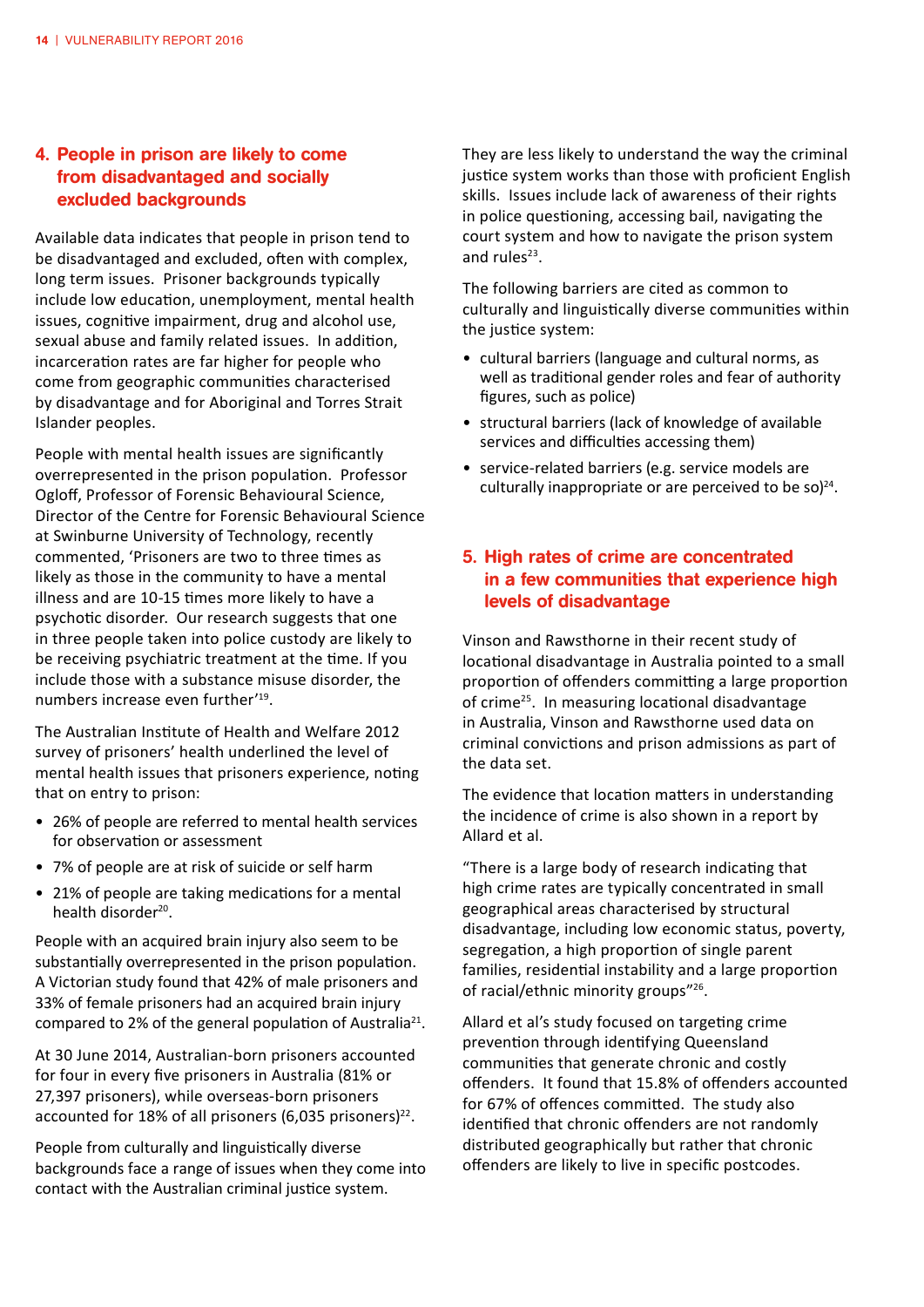### 4. People in prison are likely to come from disadvantaged and socially excluded backgrounds

Available data indicates that people in prison tend to be disadvantaged and excluded, often with complex, long term issues. Prisoner backgrounds typically include low education, unemployment, mental health issues, cognitive impairment, drug and alcohol use, sexual abuse and family related issues. In addition, incarceration rates are far higher for people who come from geographic communities characterised by disadvantage and for Aboriginal and Torres Strait Islander peoples.

People with mental health issues are significantly overrepresented in the prison population. Professor Ogloff, Professor of Forensic Behavioural Science, Director of the Centre for Forensic Behavioural Science at Swinburne University of Technology, recently commented, 'Prisoners are two to three times as likely as those in the community to have a mental illness and are 10-15 times more likely to have a psychotic disorder. Our research suggests that one in three people taken into police custody are likely to be receiving psychiatric treatment at the time. If you include those with a substance misuse disorder, the numbers increase even further'19.

The Australian Institute of Health and Welfare 2012 survey of prisoners' health underlined the level of mental health issues that prisoners experience, noting that on entry to prison:

- 26% of people are referred to mental health services for observation or assessment
- 7% of people are at risk of suicide or self harm
- 21% of people are taking medications for a mental health disorder<sup>20</sup>.

People with an acquired brain injury also seem to be substantially overrepresented in the prison population. A Victorian study found that 42% of male prisoners and 33% of female prisoners had an acquired brain injury compared to 2% of the general population of Australia<sup>21</sup>.

At 30 June 2014, Australian-born prisoners accounted for four in every five prisoners in Australia (81% or 27,397 prisoners), while overseas-born prisoners accounted for 18% of all prisoners (6,035 prisoners) $22$ .

People from culturally and linguistically diverse backgrounds face a range of issues when they come into contact with the Australian criminal justice system.

They are less likely to understand the way the criminal justice system works than those with proficient English skills. Issues include lack of awareness of their rights in police questioning, accessing bail, navigating the court system and how to navigate the prison system and rules $23$ .

The following barriers are cited as common to culturally and linguistically diverse communities within the justice system:

- • cultural barriers (language and cultural norms, as well as traditional gender roles and fear of authority figures, such as police)
- structural barriers (lack of knowledge of available services and difficulties accessing them)
- service-related barriers (e.g. service models are culturally inappropriate or are perceived to be so) $^{24}$ .

### 5. High rates of crime are concentrated in a few communities that experience high levels of disadvantage

Vinson and Rawsthorne in their recent study of locational disadvantage in Australia pointed to a small proportion of offenders committing a large proportion of crime25. In measuring locational disadvantage in Australia, Vinson and Rawsthorne used data on criminal convictions and prison admissions as part of the data set.

The evidence that location matters in understanding the incidence of crime is also shown in a report by Allard et al.

"There is a large body of research indicating that high crime rates are typically concentrated in small geographical areas characterised by structural disadvantage, including low economic status, poverty, segregation, a high proportion of single parent families, residential instability and a large proportion of racial/ethnic minority groups"<sup>26</sup>.

Allard et al's study focused on targeting crime prevention through identifying Queensland communities that generate chronic and costly offenders. It found that 15.8% of offenders accounted for 67% of offences committed. The study also identified that chronic offenders are not randomly distributed geographically but rather that chronic offenders are likely to live in specific postcodes.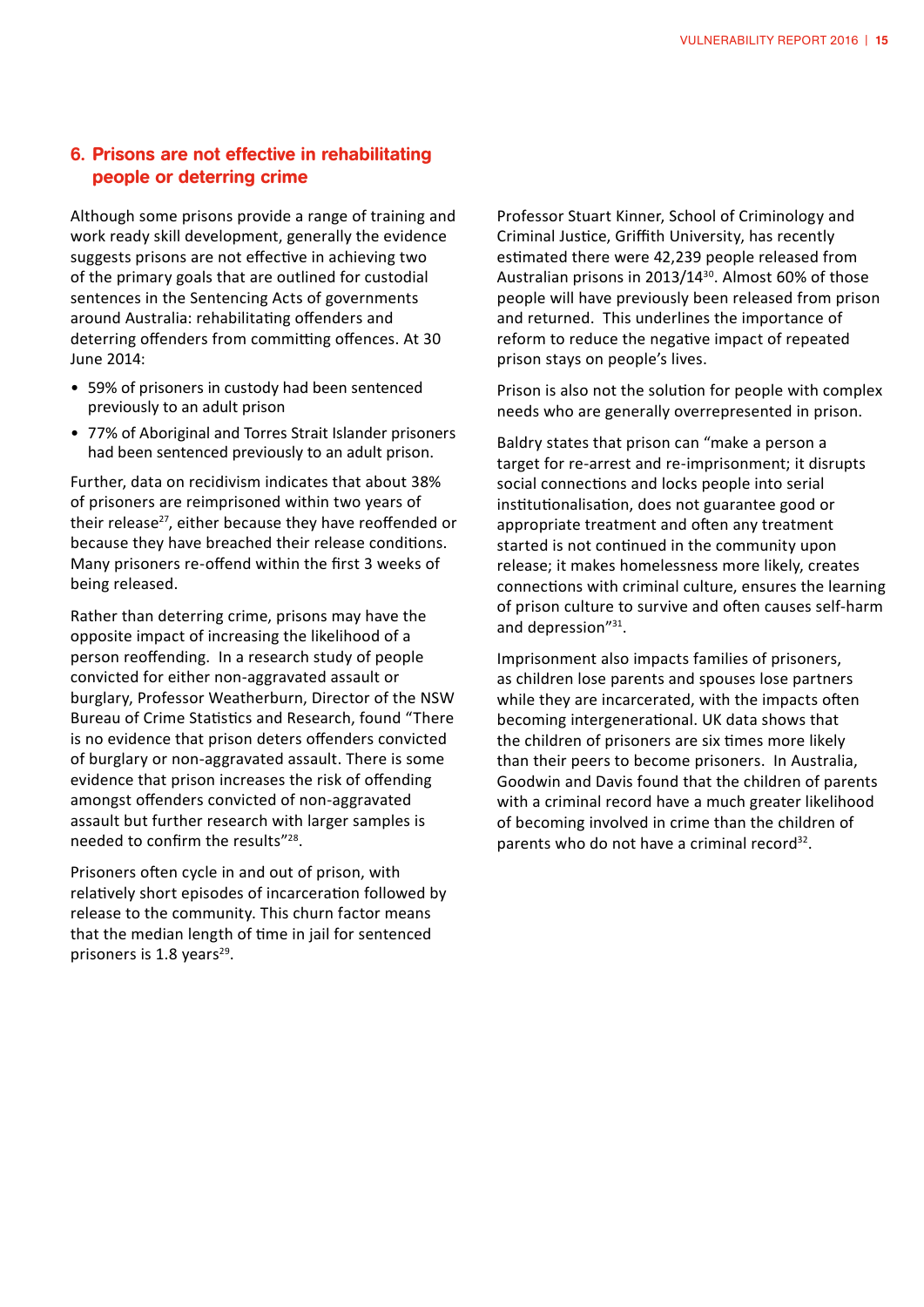### 6. Prisons are not effective in rehabilitating people or deterring crime

Although some prisons provide a range of training and work ready skill development, generally the evidence suggests prisons are not effective in achieving two of the primary goals that are outlined for custodial sentences in the Sentencing Acts of governments around Australia: rehabilitating offenders and deterring offenders from committing offences. At 30 June 2014:

- 59% of prisoners in custody had been sentenced previously to an adult prison
- 77% of Aboriginal and Torres Strait Islander prisoners had been sentenced previously to an adult prison.

Further, data on recidivism indicates that about 38% of prisoners are reimprisoned within two years of their release<sup>27</sup>, either because they have reoffended or because they have breached their release conditions. Many prisoners re-offend within the first 3 weeks of being released.

Rather than deterring crime, prisons may have the opposite impact of increasing the likelihood of a person reoffending. In a research study of people convicted for either non-aggravated assault or burglary, Professor Weatherburn, Director of the NSW Bureau of Crime Statistics and Research, found "There is no evidence that prison deters offenders convicted of burglary or non-aggravated assault. There is some evidence that prison increases the risk of offending amongst offenders convicted of non-aggravated assault but further research with larger samples is needed to confirm the results"28.

Prisoners often cycle in and out of prison, with relatively short episodes of incarceration followed by release to the community. This churn factor means that the median length of time in jail for sentenced prisoners is  $1.8$  years<sup>29</sup>.

Professor Stuart Kinner, School of Criminology and Criminal Justice, Griffith University, has recently estimated there were 42,239 people released from Australian prisons in 2013/1430. Almost 60% of those people will have previously been released from prison and returned. This underlines the importance of reform to reduce the negative impact of repeated prison stays on people's lives.

Prison is also not the solution for people with complex needs who are generally overrepresented in prison.

Baldry states that prison can "make a person a target for re-arrest and re-imprisonment; it disrupts social connections and locks people into serial institutionalisation, does not guarantee good or appropriate treatment and often any treatment started is not continued in the community upon release; it makes homelessness more likely, creates connections with criminal culture, ensures the learning of prison culture to survive and often causes self-harm and depression"31.

Imprisonment also impacts families of prisoners, as children lose parents and spouses lose partners while they are incarcerated, with the impacts often becoming intergenerational. UK data shows that the children of prisoners are six times more likely than their peers to become prisoners. In Australia, Goodwin and Davis found that the children of parents with a criminal record have a much greater likelihood of becoming involved in crime than the children of parents who do not have a criminal record<sup>32</sup>.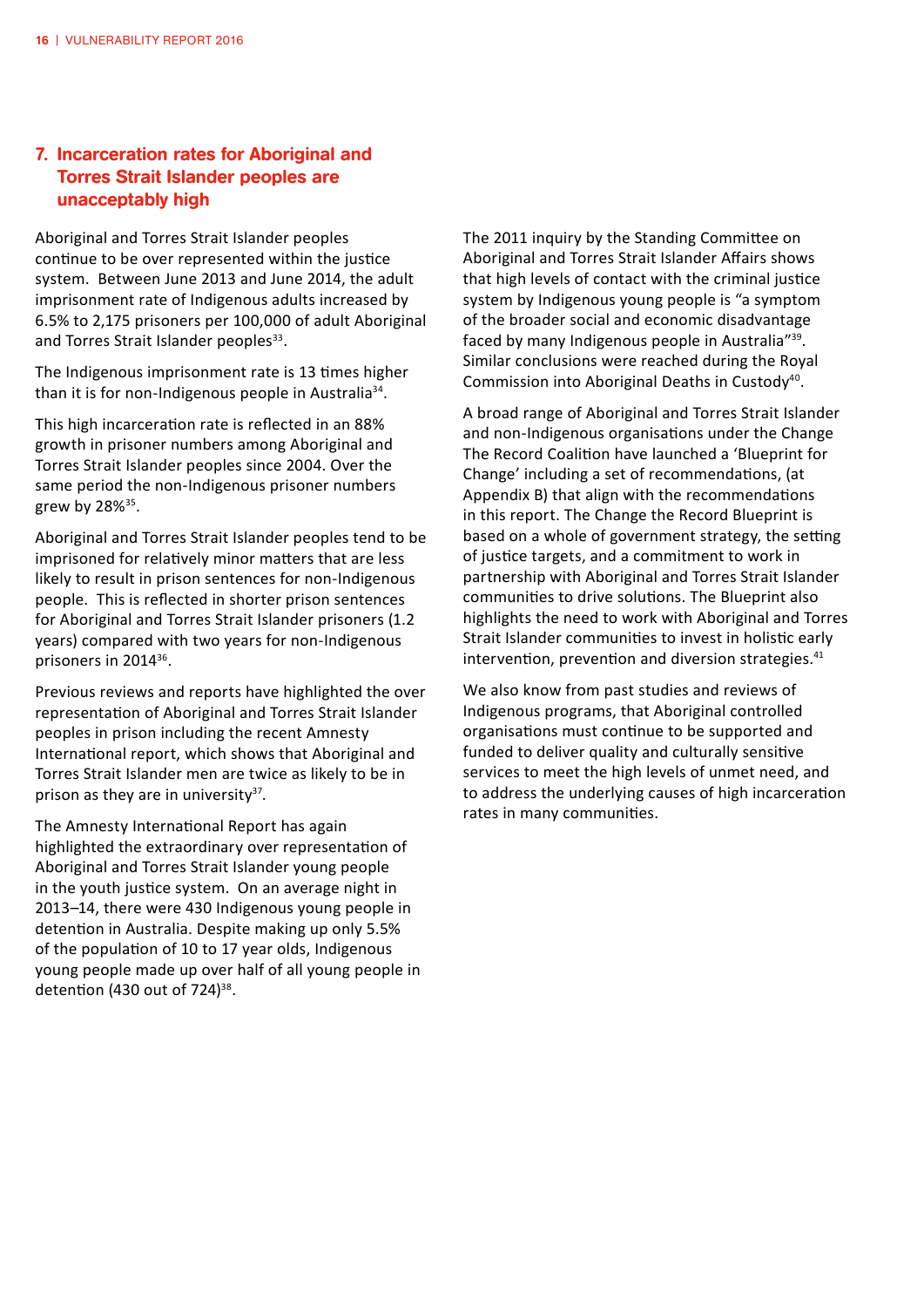#### 7. Incarceration rates for Aboriginal and Torres Strait Islander peoples are unacceptably high

Aboriginal and Torres Strait Islander peoples continue to be over represented within the justice system. Between June 2013 and June 2014, the adult imprisonment rate of Indigenous adults increased by 6.5% to 2,175 prisoners per 100,000 of adult Aboriginal and Torres Strait Islander peoples<sup>33</sup>.

The Indigenous imprisonment rate is 13 times higher than it is for non-Indigenous people in Australia<sup>34</sup>.

This high incarceration rate is reflected in an 88% growth in prisoner numbers among Aboriginal and Torres Strait Islander peoples since 2004. Over the same period the non-Indigenous prisoner numbers grew by 28%35.

Aboriginal and Torres Strait Islander peoples tend to be imprisoned for relatively minor matters that are less likely to result in prison sentences for non-Indigenous people. This is reflected in shorter prison sentences for Aboriginal and Torres Strait Islander prisoners (1.2 years) compared with two years for non-Indigenous prisoners in 201436.

Previous reviews and reports have highlighted the over representation of Aboriginal and Torres Strait Islander peoples in prison including the recent Amnesty International report, which shows that Aboriginal and Torres Strait Islander men are twice as likely to be in prison as they are in university $37$ .

The Amnesty International Report has again highlighted the extraordinary over representation of Aboriginal and Torres Strait Islander young people in the youth justice system. On an average night in 2013–14, there were 430 Indigenous young people in detention in Australia. Despite making up only 5.5% of the population of 10 to 17 year olds, Indigenous young people made up over half of all young people in detention (430 out of  $724$ )<sup>38</sup>.

The 2011 inquiry by the Standing Committee on Aboriginal and Torres Strait Islander Affairs shows that high levels of contact with the criminal justice system by Indigenous young people is "a symptom of the broader social and economic disadvantage faced by many Indigenous people in Australia"39. Similar conclusions were reached during the Royal Commission into Aboriginal Deaths in Custody<sup>40</sup>.

A broad range of Aboriginal and Torres Strait Islander and non-Indigenous organisations under the Change The Record Coalition have launched a 'Blueprint for Change' including a set of recommendations, (at Appendix B) that align with the recommendations in this report. The Change the Record Blueprint is based on a whole of government strategy, the setting of justice targets, and a commitment to work in partnership with Aboriginal and Torres Strait Islander communities to drive solutions. The Blueprint also highlights the need to work with Aboriginal and Torres Strait Islander communities to invest in holistic early intervention, prevention and diversion strategies.<sup>41</sup>

We also know from past studies and reviews of Indigenous programs, that Aboriginal controlled organisations must continue to be supported and funded to deliver quality and culturally sensitive services to meet the high levels of unmet need, and to address the underlying causes of high incarceration rates in many communities.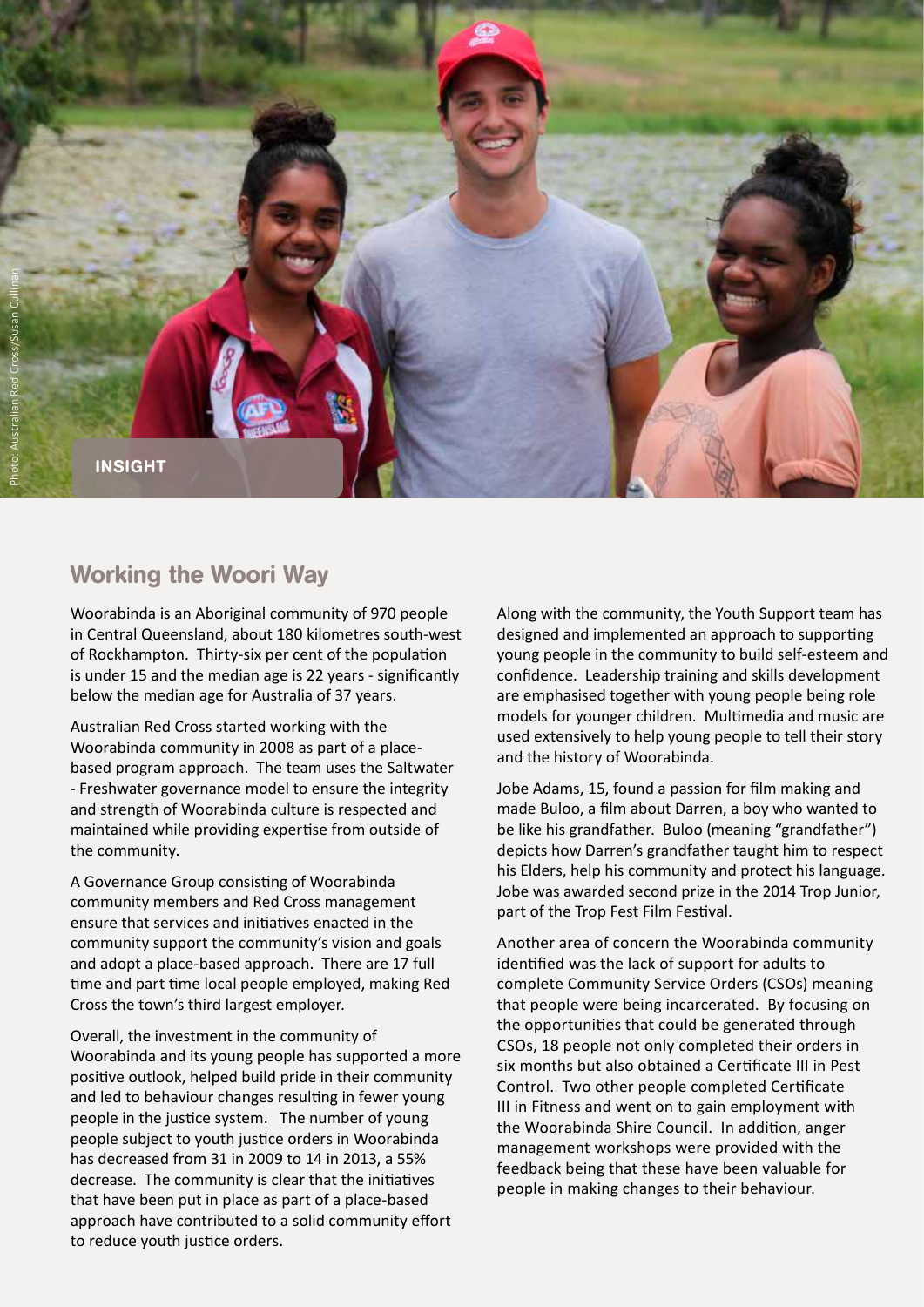

### Working the Woori Way

Woorabinda is an Aboriginal community of 970 people in Central Queensland, about 180 kilometres south-west of Rockhampton. Thirty-six per cent of the population is under 15 and the median age is 22 years - significantly below the median age for Australia of 37 years.

Australian Red Cross started working with the Woorabinda community in 2008 as part of a placebased program approach. The team uses the Saltwater - Freshwater governance model to ensure the integrity and strength of Woorabinda culture is respected and maintained while providing expertise from outside of the community.

A Governance Group consisting of Woorabinda community members and Red Cross management ensure that services and initiatives enacted in the community support the community's vision and goals and adopt a place-based approach. There are 17 full time and part time local people employed, making Red Cross the town's third largest employer.

Overall, the investment in the community of Woorabinda and its young people has supported a more positive outlook, helped build pride in their community and led to behaviour changes resulting in fewer young people in the justice system. The number of young people subject to youth justice orders in Woorabinda has decreased from 31 in 2009 to 14 in 2013, a 55% decrease. The community is clear that the initiatives that have been put in place as part of a place-based approach have contributed to a solid community effort to reduce youth justice orders.

Along with the community, the Youth Support team has designed and implemented an approach to supporting young people in the community to build self-esteem and confidence. Leadership training and skills development are emphasised together with young people being role models for younger children. Multimedia and music are used extensively to help young people to tell their story and the history of Woorabinda.

Jobe Adams, 15, found a passion for film making and made Buloo, a film about Darren, a boy who wanted to be like his grandfather. Buloo (meaning "grandfather") depicts how Darren's grandfather taught him to respect his Elders, help his community and protect his language. Jobe was awarded second prize in the 2014 Trop Junior, part of the Trop Fest Film Festival.

Another area of concern the Woorabinda community identified was the lack of support for adults to complete Community Service Orders (CSOs) meaning that people were being incarcerated. By focusing on the opportunities that could be generated through CSOs, 18 people not only completed their orders in six months but also obtained a Certificate III in Pest Control. Two other people completed Certificate III in Fitness and went on to gain employment with the Woorabinda Shire Council. In addition, anger management workshops were provided with the feedback being that these have been valuable for people in making changes to their behaviour.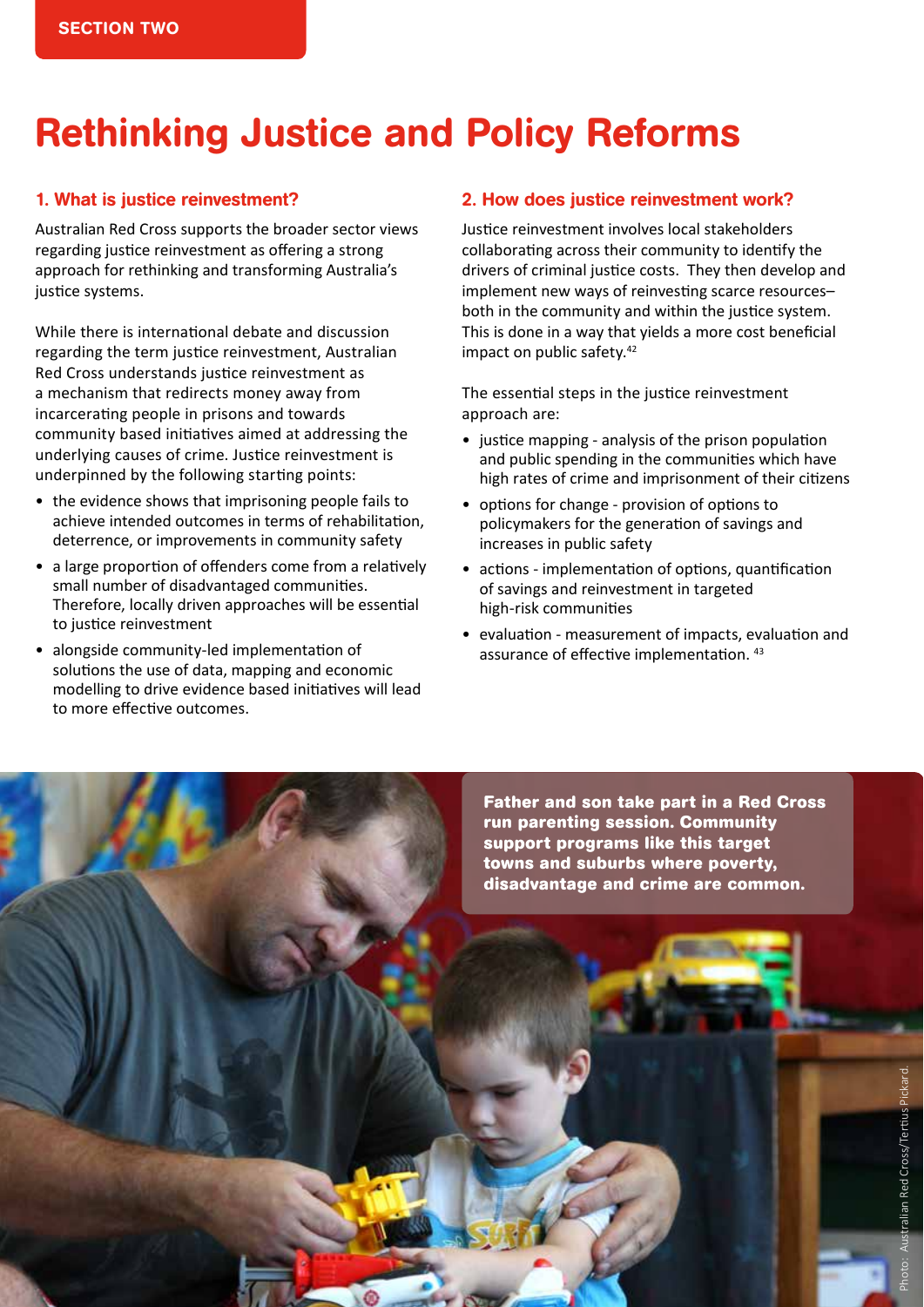# Rethinking Justice and Policy Reforms

#### 1. What is justice reinvestment?

Australian Red Cross supports the broader sector views regarding justice reinvestment as offering a strong approach for rethinking and transforming Australia's justice systems.

While there is international debate and discussion regarding the term justice reinvestment, Australian Red Cross understands justice reinvestment as a mechanism that redirects money away from incarcerating people in prisons and towards community based initiatives aimed at addressing the underlying causes of crime. Justice reinvestment is underpinned by the following starting points:

- the evidence shows that imprisoning people fails to achieve intended outcomes in terms of rehabilitation, deterrence, or improvements in community safety
- a large proportion of offenders come from a relatively small number of disadvantaged communities. Therefore, locally driven approaches will be essential to justice reinvestment
- • alongside community-led implementation of solutions the use of data, mapping and economic modelling to drive evidence based initiatives will lead to more effective outcomes.

#### 2. How does justice reinvestment work?

Justice reinvestment involves local stakeholders collaborating across their community to identify the drivers of criminal justice costs. They then develop and implement new ways of reinvesting scarce resources– both in the community and within the justice system. This is done in a way that yields a more cost beneficial impact on public safety.<sup>42</sup>

The essential steps in the justice reinvestment approach are:

- justice mapping analysis of the prison population and public spending in the communities which have high rates of crime and imprisonment of their citizens
- • options for change provision of options to policymakers for the generation of savings and increases in public safety
- actions implementation of options, quantification of savings and reinvestment in targeted high-risk communities
- • evaluation measurement of impacts, evaluation and assurance of effective implementation. 43

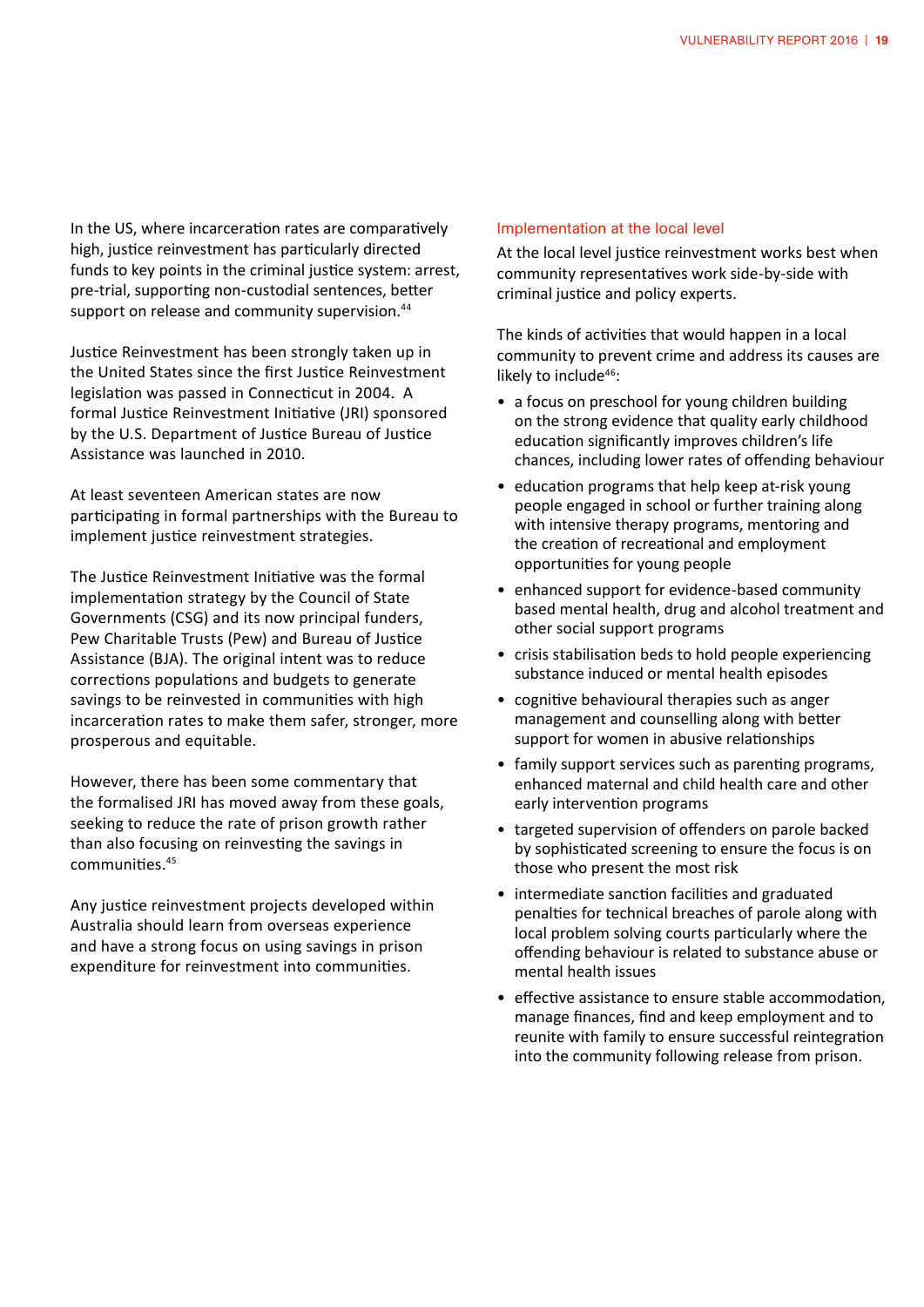In the US, where incarceration rates are comparatively high, justice reinvestment has particularly directed funds to key points in the criminal justice system: arrest, pre-trial, supporting non-custodial sentences, better support on release and community supervision.<sup>44</sup>

Justice Reinvestment has been strongly taken up in the United States since the first Justice Reinvestment legislation was passed in Connecticut in 2004. A formal Justice Reinvestment Initiative (JRI) sponsored by the U.S. Department of Justice Bureau of Justice Assistance was launched in 2010.

At least seventeen American states are now participating in formal partnerships with the Bureau to implement justice reinvestment strategies.

The Justice Reinvestment Initiative was the formal implementation strategy by the Council of State Governments (CSG) and its now principal funders, Pew Charitable Trusts (Pew) and Bureau of Justice Assistance (BJA). The original intent was to reduce corrections populations and budgets to generate savings to be reinvested in communities with high incarceration rates to make them safer, stronger, more prosperous and equitable.

However, there has been some commentary that the formalised JRI has moved away from these goals, seeking to reduce the rate of prison growth rather than also focusing on reinvesting the savings in communities.45

Any justice reinvestment projects developed within Australia should learn from overseas experience and have a strong focus on using savings in prison expenditure for reinvestment into communities.

#### Implementation at the local level

At the local level justice reinvestment works best when community representatives work side-by-side with criminal justice and policy experts.

The kinds of activities that would happen in a local community to prevent crime and address its causes are likely to include<sup>46</sup>:

- a focus on preschool for young children building on the strong evidence that quality early childhood education significantly improves children's life chances, including lower rates of offending behaviour
- education programs that help keep at-risk young people engaged in school or further training along with intensive therapy programs, mentoring and the creation of recreational and employment opportunities for young people
- enhanced support for evidence-based community based mental health, drug and alcohol treatment and other social support programs
- crisis stabilisation beds to hold people experiencing substance induced or mental health episodes
- cognitive behavioural therapies such as anger management and counselling along with better support for women in abusive relationships
- family support services such as parenting programs, enhanced maternal and child health care and other early intervention programs
- targeted supervision of offenders on parole backed by sophisticated screening to ensure the focus is on those who present the most risk
- intermediate sanction facilities and graduated penalties for technical breaches of parole along with local problem solving courts particularly where the offending behaviour is related to substance abuse or mental health issues
- effective assistance to ensure stable accommodation, manage finances, find and keep employment and to reunite with family to ensure successful reintegration into the community following release from prison.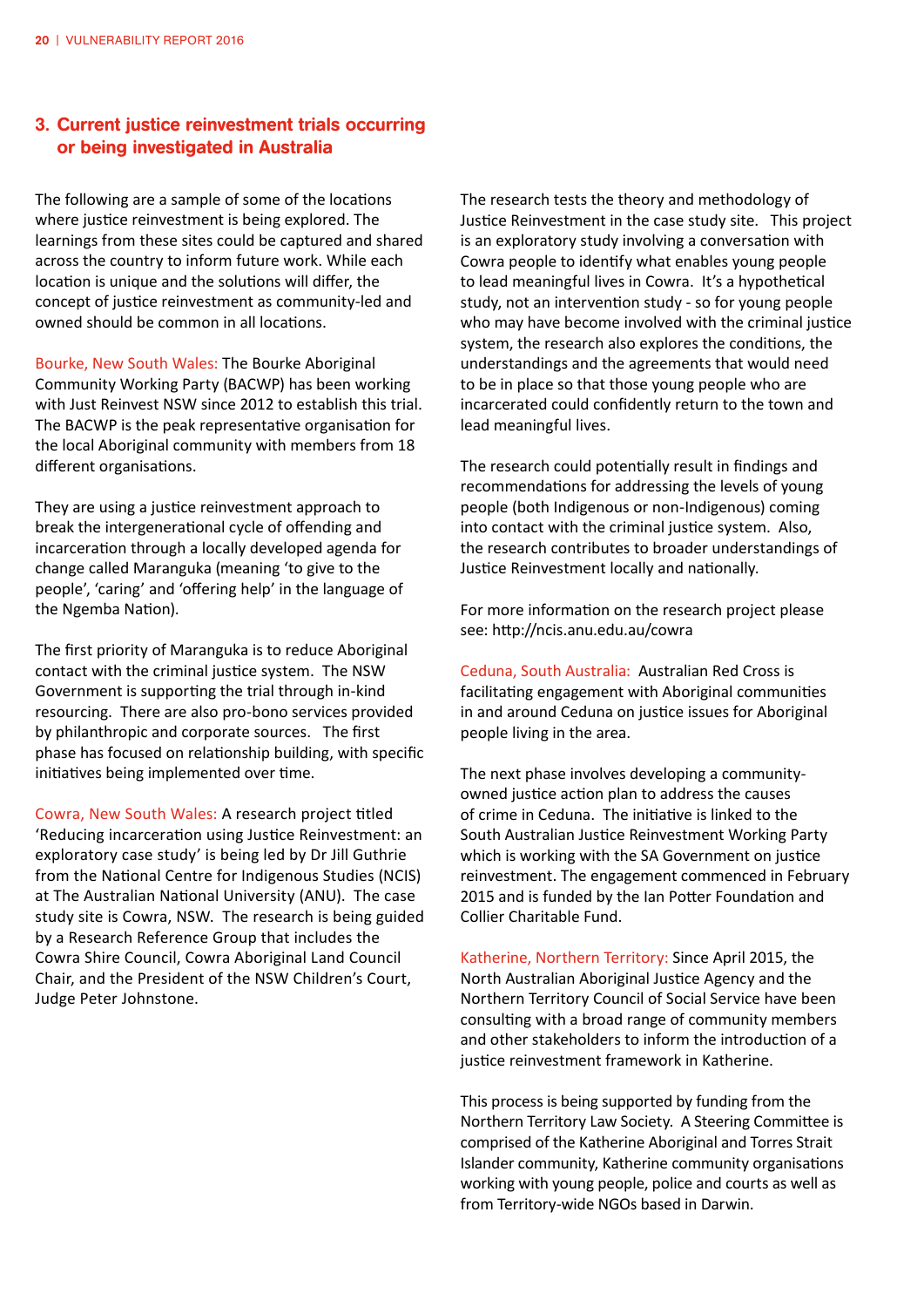#### 3. Current justice reinvestment trials occurring or being investigated in Australia

The following are a sample of some of the locations where justice reinvestment is being explored. The learnings from these sites could be captured and shared across the country to inform future work. While each location is unique and the solutions will differ, the concept of justice reinvestment as community-led and owned should be common in all locations.

Bourke, New South Wales: The Bourke Aboriginal Community Working Party (BACWP) has been working with Just Reinvest NSW since 2012 to establish this trial. The BACWP is the peak representative organisation for the local Aboriginal community with members from 18 different organisations.

They are using a justice reinvestment approach to break the intergenerational cycle of offending and incarceration through a locally developed agenda for change called Maranguka (meaning 'to give to the people', 'caring' and 'offering help' in the language of the Ngemba Nation).

The first priority of Maranguka is to reduce Aboriginal contact with the criminal justice system. The NSW Government is supporting the trial through in-kind resourcing. There are also pro-bono services provided by philanthropic and corporate sources. The first phase has focused on relationship building, with specific initiatives being implemented over time.

Cowra, New South Wales: A research project titled 'Reducing incarceration using Justice Reinvestment: an exploratory case study' is being led by Dr Jill Guthrie from the National Centre for Indigenous Studies (NCIS) at The Australian National University (ANU). The case study site is Cowra, NSW. The research is being guided by a Research Reference Group that includes the Cowra Shire Council, Cowra Aboriginal Land Council Chair, and the President of the NSW Children's Court, Judge Peter Johnstone.

The research tests the theory and methodology of Justice Reinvestment in the case study site. This project is an exploratory study involving a conversation with Cowra people to identify what enables young people to lead meaningful lives in Cowra. It's a hypothetical study, not an intervention study - so for young people who may have become involved with the criminal justice system, the research also explores the conditions, the understandings and the agreements that would need to be in place so that those young people who are incarcerated could confidently return to the town and lead meaningful lives.

The research could potentially result in findings and recommendations for addressing the levels of young people (both Indigenous or non-Indigenous) coming into contact with the criminal justice system. Also, the research contributes to broader understandings of Justice Reinvestment locally and nationally.

For more information on the research project please see: http://ncis.anu.edu.au/cowra

Ceduna, South Australia: Australian Red Cross is facilitating engagement with Aboriginal communities in and around Ceduna on justice issues for Aboriginal people living in the area.

The next phase involves developing a communityowned justice action plan to address the causes of crime in Ceduna. The initiative is linked to the South Australian Justice Reinvestment Working Party which is working with the SA Government on justice reinvestment. The engagement commenced in February 2015 and is funded by the Ian Potter Foundation and Collier Charitable Fund.

Katherine, Northern Territory: Since April 2015, the North Australian Aboriginal Justice Agency and the Northern Territory Council of Social Service have been consulting with a broad range of community members and other stakeholders to inform the introduction of a justice reinvestment framework in Katherine.

This process is being supported by funding from the Northern Territory Law Society. A Steering Committee is comprised of the Katherine Aboriginal and Torres Strait Islander community, Katherine community organisations working with young people, police and courts as well as from Territory-wide NGOs based in Darwin.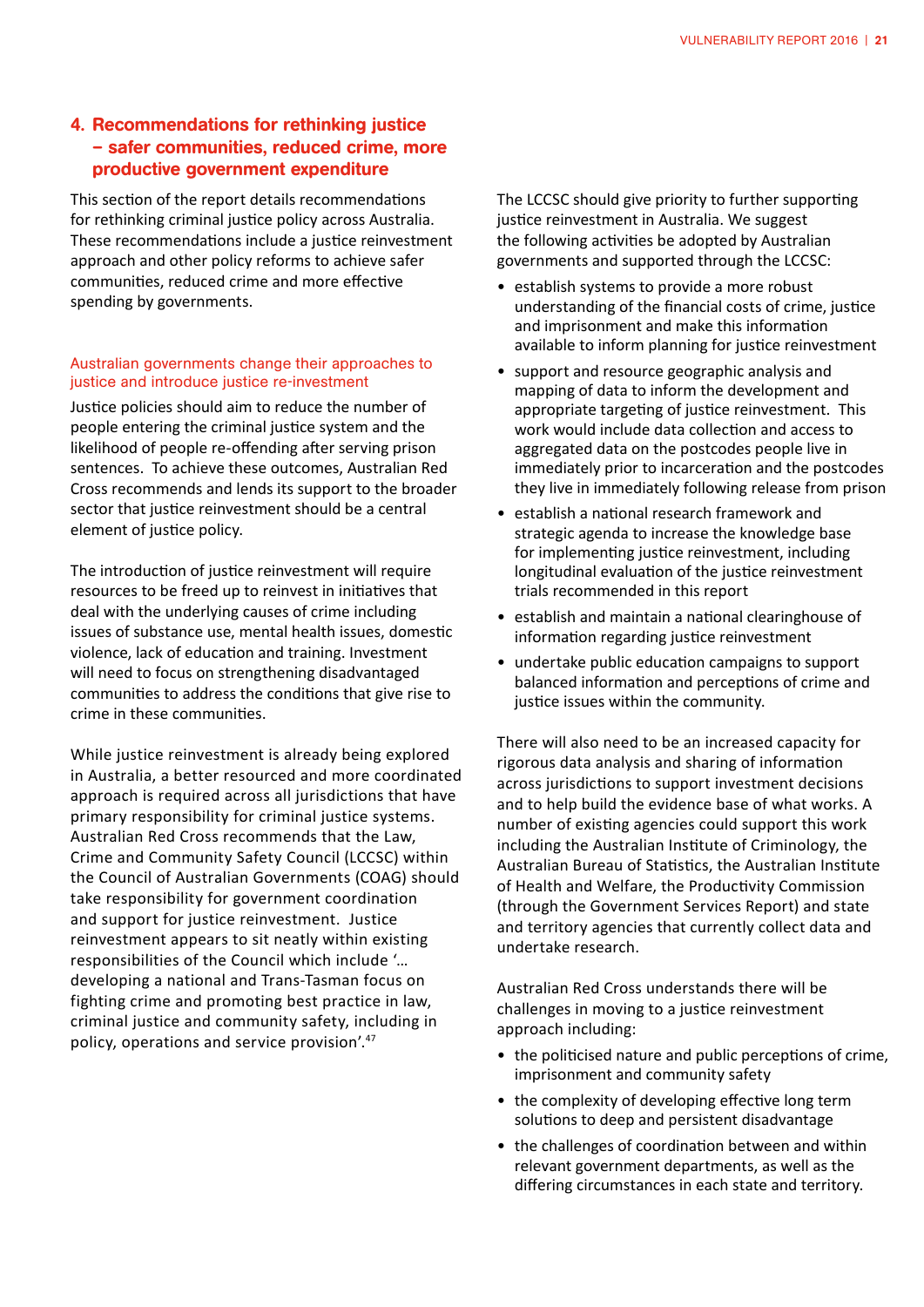#### 4. Recommendations for rethinking justice – safer communities, reduced crime, more productive government expenditure

This section of the report details recommendations for rethinking criminal justice policy across Australia. These recommendations include a justice reinvestment approach and other policy reforms to achieve safer communities, reduced crime and more effective spending by governments.

#### Australian governments change their approaches to justice and introduce justice re-investment

Justice policies should aim to reduce the number of people entering the criminal justice system and the likelihood of people re-offending after serving prison sentences. To achieve these outcomes, Australian Red Cross recommends and lends its support to the broader sector that justice reinvestment should be a central element of justice policy.

The introduction of justice reinvestment will require resources to be freed up to reinvest in initiatives that deal with the underlying causes of crime including issues of substance use, mental health issues, domestic violence, lack of education and training. Investment will need to focus on strengthening disadvantaged communities to address the conditions that give rise to crime in these communities.

While justice reinvestment is already being explored in Australia, a better resourced and more coordinated approach is required across all jurisdictions that have primary responsibility for criminal justice systems. Australian Red Cross recommends that the Law, Crime and Community Safety Council (LCCSC) within the Council of Australian Governments (COAG) should take responsibility for government coordination and support for justice reinvestment. Justice reinvestment appears to sit neatly within existing responsibilities of the Council which include '… developing a national and Trans-Tasman focus on fighting crime and promoting best practice in law, criminal justice and community safety, including in policy, operations and service provision'.<sup>47</sup>

The LCCSC should give priority to further supporting justice reinvestment in Australia. We suggest the following activities be adopted by Australian governments and supported through the LCCSC:

- establish systems to provide a more robust understanding of the financial costs of crime, justice and imprisonment and make this information available to inform planning for justice reinvestment
- support and resource geographic analysis and mapping of data to inform the development and appropriate targeting of justice reinvestment. This work would include data collection and access to aggregated data on the postcodes people live in immediately prior to incarceration and the postcodes they live in immediately following release from prison
- • establish a national research framework and strategic agenda to increase the knowledge base for implementing justice reinvestment, including longitudinal evaluation of the justice reinvestment trials recommended in this report
- establish and maintain a national clearinghouse of information regarding justice reinvestment
- undertake public education campaigns to support balanced information and perceptions of crime and justice issues within the community.

There will also need to be an increased capacity for rigorous data analysis and sharing of information across jurisdictions to support investment decisions and to help build the evidence base of what works. A number of existing agencies could support this work including the Australian Institute of Criminology, the Australian Bureau of Statistics, the Australian Institute of Health and Welfare, the Productivity Commission (through the Government Services Report) and state and territory agencies that currently collect data and undertake research.

Australian Red Cross understands there will be challenges in moving to a justice reinvestment approach including:

- the politicised nature and public perceptions of crime, imprisonment and community safety
- the complexity of developing effective long term solutions to deep and persistent disadvantage
- the challenges of coordination between and within relevant government departments, as well as the differing circumstances in each state and territory.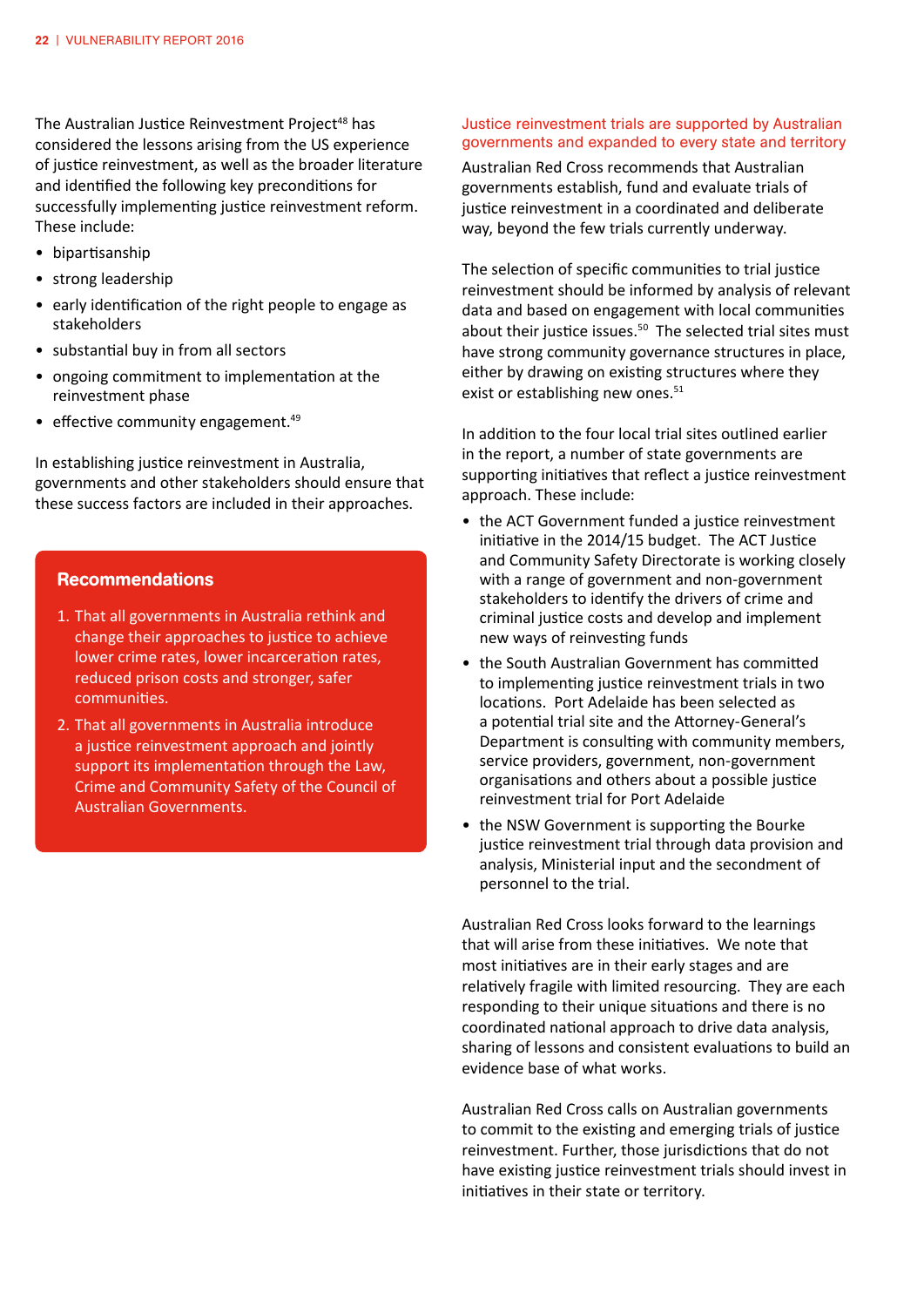The Australian Justice Reinvestment Project<sup>48</sup> has considered the lessons arising from the US experience of justice reinvestment, as well as the broader literature and identified the following key preconditions for successfully implementing justice reinvestment reform. These include:

- • bipartisanship
- strong leadership
- early identification of the right people to engage as stakeholders
- substantial buy in from all sectors
- • ongoing commitment to implementation at the reinvestment phase
- $\bullet$  effective community engagement.<sup>49</sup>

In establishing justice reinvestment in Australia, governments and other stakeholders should ensure that these success factors are included in their approaches.

#### Recommendations

- 1. That all governments in Australia rethink and change their approaches to justice to achieve lower crime rates, lower incarceration rates, reduced prison costs and stronger, safer communities.
- 2. That all governments in Australia introduce a justice reinvestment approach and jointly support its implementation through the Law, Crime and Community Safety of the Council of Australian Governments.

#### Justice reinvestment trials are supported by Australian governments and expanded to every state and territory

Australian Red Cross recommends that Australian governments establish, fund and evaluate trials of justice reinvestment in a coordinated and deliberate way, beyond the few trials currently underway.

The selection of specific communities to trial justice reinvestment should be informed by analysis of relevant data and based on engagement with local communities about their justice issues. $50$  The selected trial sites must have strong community governance structures in place, either by drawing on existing structures where they exist or establishing new ones.<sup>51</sup>

In addition to the four local trial sites outlined earlier in the report, a number of state governments are supporting initiatives that reflect a justice reinvestment approach. These include:

- the ACT Government funded a justice reinvestment initiative in the 2014/15 budget. The ACT Justice and Community Safety Directorate is working closely with a range of government and non-government stakeholders to identify the drivers of crime and criminal justice costs and develop and implement new ways of reinvesting funds
- the South Australian Government has committed to implementing justice reinvestment trials in two locations. Port Adelaide has been selected as a potential trial site and the Attorney-General's Department is consulting with community members, service providers, government, non-government organisations and others about a possible justice reinvestment trial for Port Adelaide
- the NSW Government is supporting the Bourke justice reinvestment trial through data provision and analysis, Ministerial input and the secondment of personnel to the trial.

Australian Red Cross looks forward to the learnings that will arise from these initiatives. We note that most initiatives are in their early stages and are relatively fragile with limited resourcing. They are each responding to their unique situations and there is no coordinated national approach to drive data analysis, sharing of lessons and consistent evaluations to build an evidence base of what works.

Australian Red Cross calls on Australian governments to commit to the existing and emerging trials of justice reinvestment. Further, those jurisdictions that do not have existing justice reinvestment trials should invest in initiatives in their state or territory.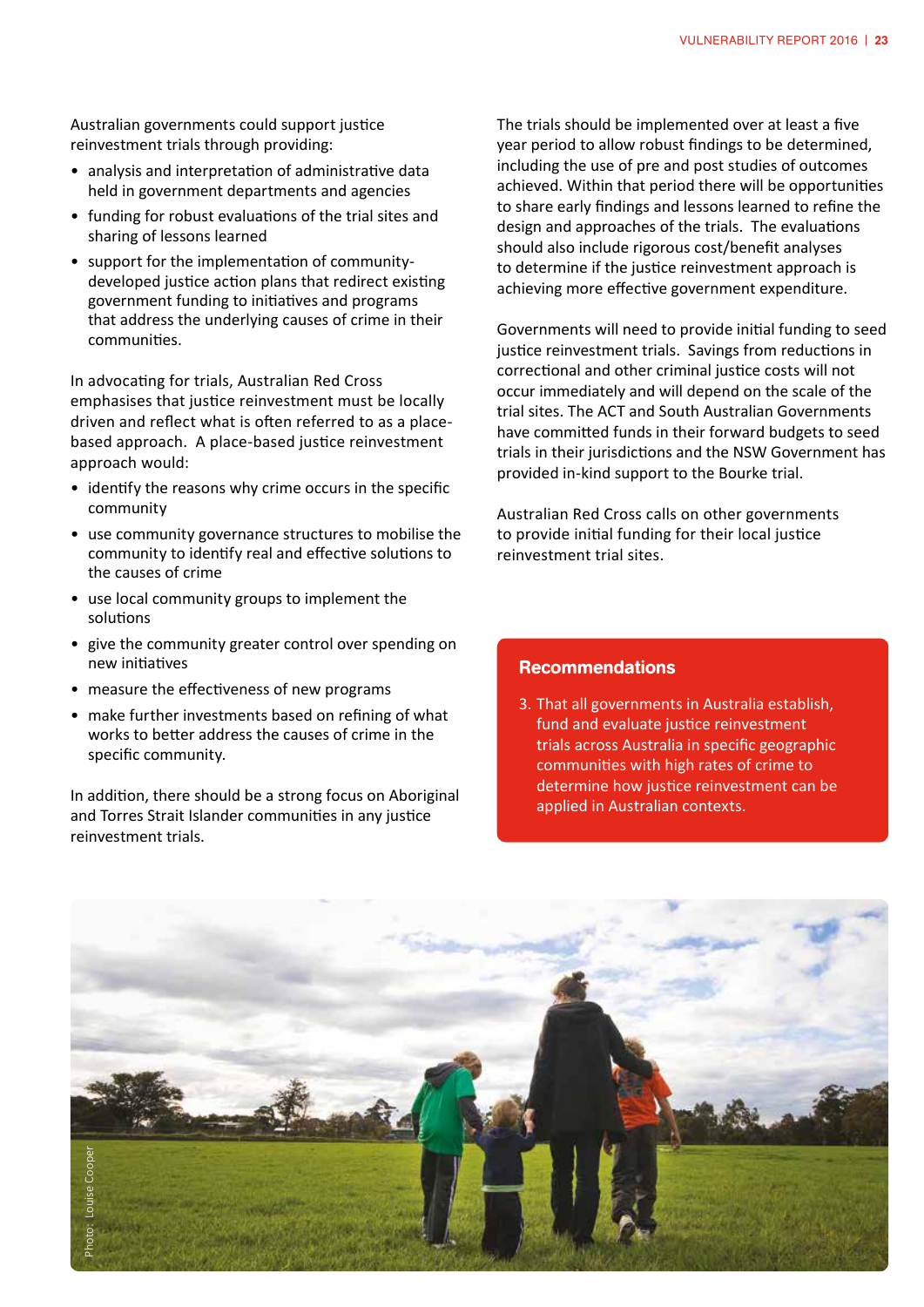Australian governments could support justice reinvestment trials through providing:

- analysis and interpretation of administrative data held in government departments and agencies
- funding for robust evaluations of the trial sites and sharing of lessons learned
- • support for the implementation of communitydeveloped justice action plans that redirect existing government funding to initiatives and programs that address the underlying causes of crime in their communities.

In advocating for trials, Australian Red Cross emphasises that justice reinvestment must be locally driven and reflect what is often referred to as a placebased approach. A place-based justice reinvestment approach would:

- identify the reasons why crime occurs in the specific community
- use community governance structures to mobilise the community to identify real and effective solutions to the causes of crime
- use local community groups to implement the solutions
- give the community greater control over spending on new initiatives
- measure the effectiveness of new programs
- make further investments based on refining of what works to better address the causes of crime in the specific community.

In addition, there should be a strong focus on Aboriginal and Torres Strait Islander communities in any justice reinvestment trials.

The trials should be implemented over at least a five year period to allow robust findings to be determined, including the use of pre and post studies of outcomes achieved. Within that period there will be opportunities to share early findings and lessons learned to refine the design and approaches of the trials. The evaluations should also include rigorous cost/benefit analyses to determine if the justice reinvestment approach is achieving more effective government expenditure.

Governments will need to provide initial funding to seed justice reinvestment trials. Savings from reductions in correctional and other criminal justice costs will not occur immediately and will depend on the scale of the trial sites. The ACT and South Australian Governments have committed funds in their forward budgets to seed trials in their jurisdictions and the NSW Government has provided in-kind support to the Bourke trial.

Australian Red Cross calls on other governments to provide initial funding for their local justice reinvestment trial sites.

#### Recommendations

3. That all governments in Australia establish, fund and evaluate justice reinvestment trials across Australia in specific geographic communities with high rates of crime to determine how justice reinvestment can be applied in Australian contexts.

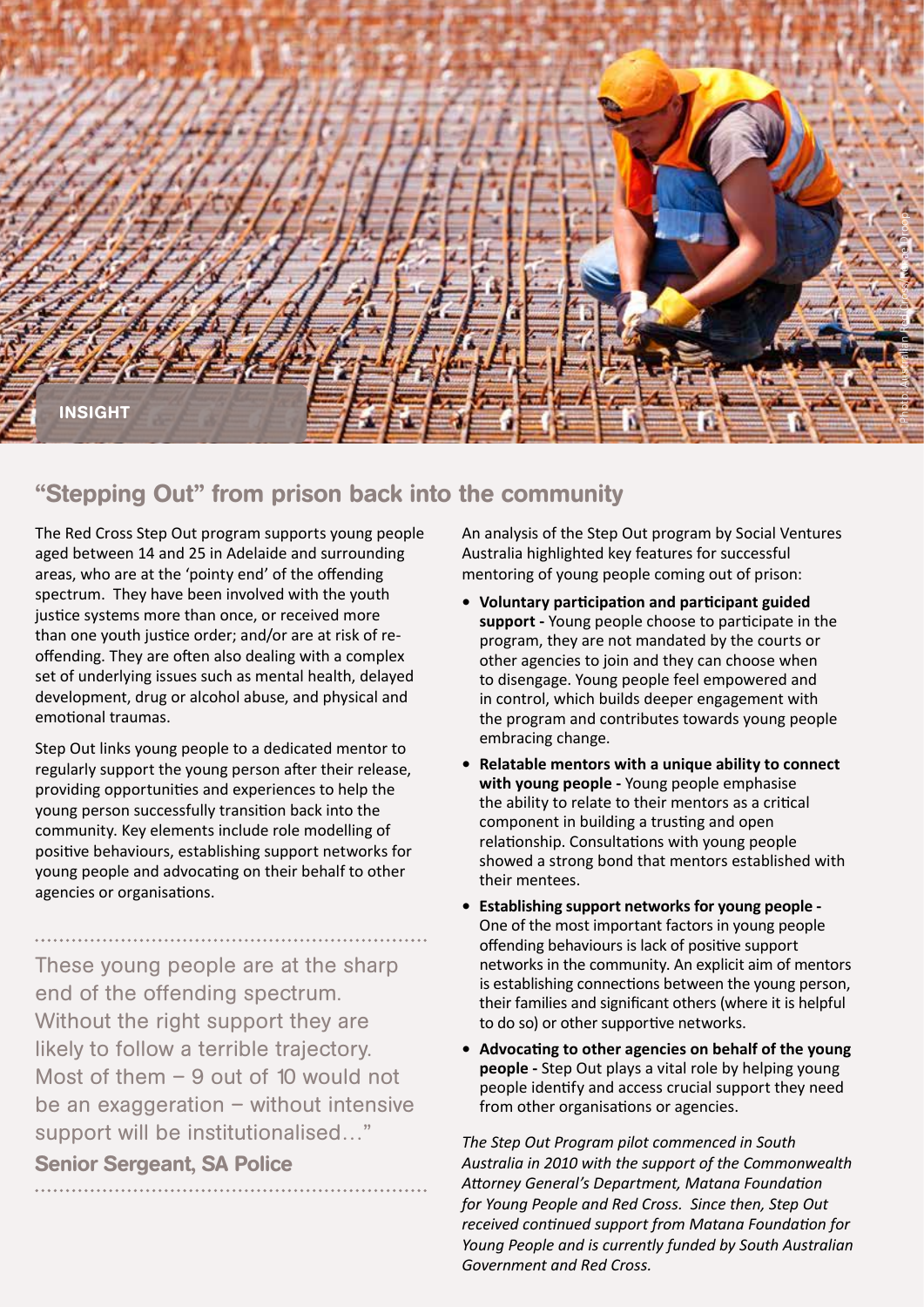

### "Stepping Out" from prison back into the community

The Red Cross Step Out program supports young people aged between 14 and 25 in Adelaide and surrounding areas, who are at the 'pointy end' of the offending spectrum. They have been involved with the youth justice systems more than once, or received more than one youth justice order; and/or are at risk of reoffending. They are often also dealing with a complex set of underlying issues such as mental health, delayed development, drug or alcohol abuse, and physical and emotional traumas.

Step Out links young people to a dedicated mentor to regularly support the young person after their release, providing opportunities and experiences to help the young person successfully transition back into the community. Key elements include role modelling of positive behaviours, establishing support networks for young people and advocating on their behalf to other agencies or organisations.

These young people are at the sharp end of the offending spectrum. Without the right support they are likely to follow a terrible trajectory. Most of them – 9 out of 10 would not be an exaggeration – without intensive support will be institutionalised…"

### Senior Sergeant, SA Police

An analysis of the Step Out program by Social Ventures Australia highlighted key features for successful mentoring of young people coming out of prison:

- **• Voluntary participation and participant guided support -** Young people choose to participate in the program, they are not mandated by the courts or other agencies to join and they can choose when to disengage. Young people feel empowered and in control, which builds deeper engagement with the program and contributes towards young people embracing change.
- **• Relatable mentors with a unique ability to connect with young people -** Young people emphasise the ability to relate to their mentors as a critical component in building a trusting and open relationship. Consultations with young people showed a strong bond that mentors established with their mentees.
- **• Establishing support networks for young people -** One of the most important factors in young people offending behaviours is lack of positive support networks in the community. An explicit aim of mentors is establishing connections between the young person, their families and significant others (where it is helpful to do so) or other supportive networks.
- **• Advocating to other agencies on behalf of the young people -** Step Out plays a vital role by helping young people identify and access crucial support they need from other organisations or agencies.

*The Step Out Program pilot commenced in South Australia in 2010 with the support of the Commonwealth Attorney General's Department, Matana Foundation for Young People and Red Cross. Since then, Step Out received continued support from Matana Foundation for Young People and is currently funded by South Australian Government and Red Cross.*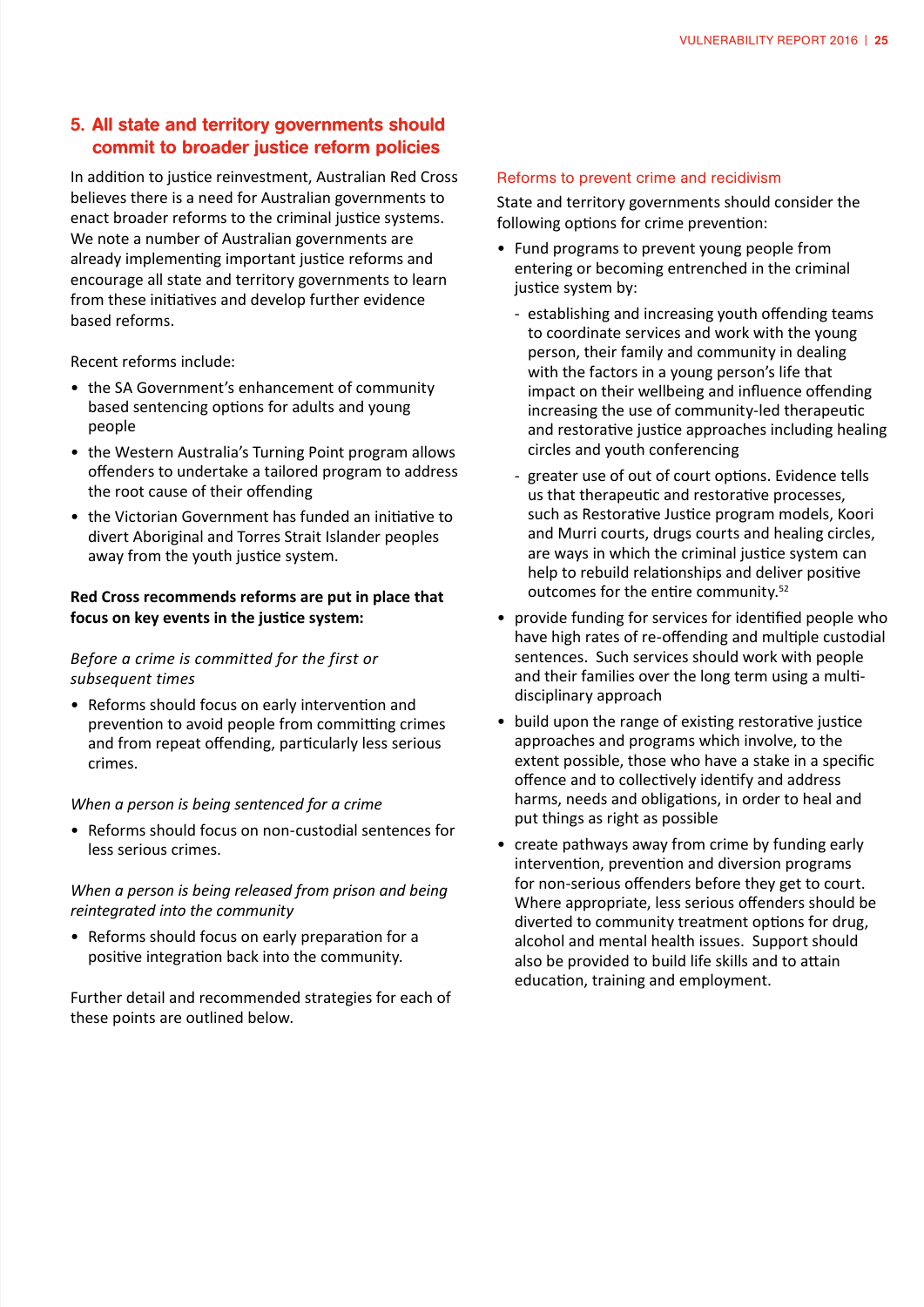#### 5. All state and territory governments should commit to broader justice reform policies

In addition to justice reinvestment, Australian Red Cross believes there is a need for Australian governments to enact broader reforms to the criminal justice systems. We note a number of Australian governments are already implementing important justice reforms and encourage all state and territory governments to learn from these initiatives and develop further evidence based reforms.

Recent reforms include:

- the SA Government's enhancement of community based sentencing options for adults and young people
- the Western Australia's Turning Point program allows offenders to undertake a tailored program to address the root cause of their offending
- the Victorian Government has funded an initiative to divert Aboriginal and Torres Strait Islander peoples away from the youth justice system.

#### **Red Cross recommends reforms are put in place that focus on key events in the justice system:**

#### *Before a crime is committed for the first or subsequent times*

• Reforms should focus on early intervention and prevention to avoid people from committing crimes and from repeat offending, particularly less serious crimes.

#### *When a person is being sentenced for a crime*

• Reforms should focus on non-custodial sentences for less serious crimes.

#### *When a person is being released from prison and being reintegrated into the community*

• Reforms should focus on early preparation for a positive integration back into the community.

Further detail and recommended strategies for each of these points are outlined below.

#### Reforms to prevent crime and recidivism

State and territory governments should consider the following options for crime prevention:

- Fund programs to prevent young people from entering or becoming entrenched in the criminal justice system by:
	- establishing and increasing youth offending teams to coordinate services and work with the young person, their family and community in dealing with the factors in a young person's life that impact on their wellbeing and influence offending increasing the use of community-led therapeutic and restorative justice approaches including healing circles and youth conferencing
	- greater use of out of court options. Evidence tells us that therapeutic and restorative processes, such as Restorative Justice program models, Koori and Murri courts, drugs courts and healing circles, are ways in which the criminal justice system can help to rebuild relationships and deliver positive outcomes for the entire community.52
- provide funding for services for identified people who have high rates of re-offending and multiple custodial sentences. Such services should work with people and their families over the long term using a multidisciplinary approach
- build upon the range of existing restorative justice approaches and programs which involve, to the extent possible, those who have a stake in a specific offence and to collectively identify and address harms, needs and obligations, in order to heal and put things as right as possible
- create pathways away from crime by funding early intervention, prevention and diversion programs for non-serious offenders before they get to court. Where appropriate, less serious offenders should be diverted to community treatment options for drug, alcohol and mental health issues. Support should also be provided to build life skills and to attain education, training and employment.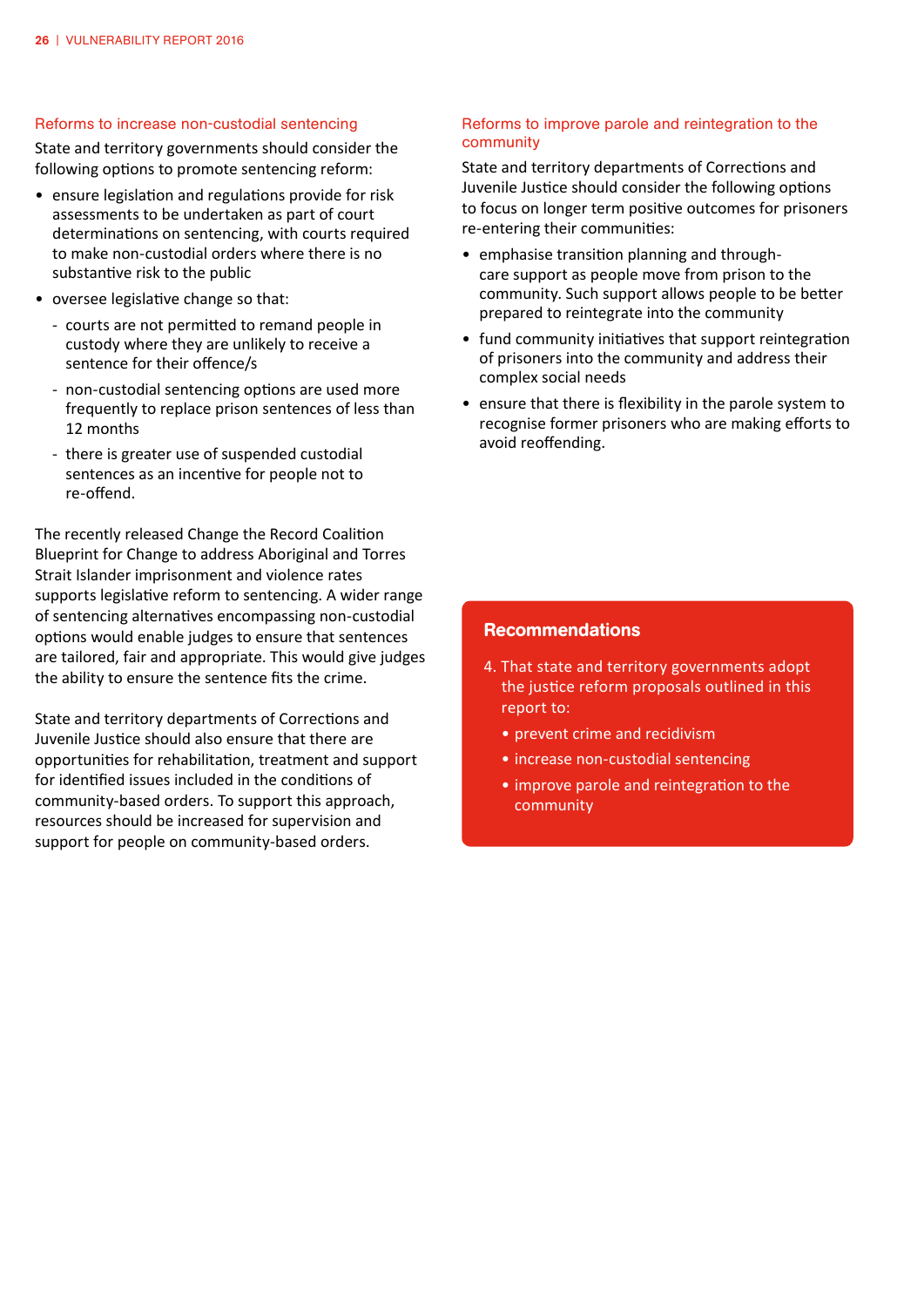#### Reforms to increase non-custodial sentencing

State and territory governments should consider the following options to promote sentencing reform:

- ensure legislation and regulations provide for risk assessments to be undertaken as part of court determinations on sentencing, with courts required to make non-custodial orders where there is no substantive risk to the public
- • oversee legislative change so that:
	- courts are not permitted to remand people in custody where they are unlikely to receive a sentence for their offence/s
	- non-custodial sentencing options are used more frequently to replace prison sentences of less than 12 months
	- there is greater use of suspended custodial sentences as an incentive for people not to re-offend.

The recently released Change the Record Coalition Blueprint for Change to address Aboriginal and Torres Strait Islander imprisonment and violence rates supports legislative reform to sentencing. A wider range of sentencing alternatives encompassing non-custodial options would enable judges to ensure that sentences are tailored, fair and appropriate. This would give judges the ability to ensure the sentence fits the crime.

State and territory departments of Corrections and Juvenile Justice should also ensure that there are opportunities for rehabilitation, treatment and support for identified issues included in the conditions of community-based orders. To support this approach, resources should be increased for supervision and support for people on community-based orders.

#### Reforms to improve parole and reintegration to the community

State and territory departments of Corrections and Juvenile Justice should consider the following options to focus on longer term positive outcomes for prisoners re-entering their communities:

- emphasise transition planning and throughcare support as people move from prison to the community. Such support allows people to be better prepared to reintegrate into the community
- fund community initiatives that support reintegration of prisoners into the community and address their complex social needs
- ensure that there is flexibility in the parole system to recognise former prisoners who are making efforts to avoid reoffending.

#### Recommendations

- 4. That state and territory governments adopt the justice reform proposals outlined in this report to:
	- prevent crime and recidivism
	- increase non-custodial sentencing
	- improve parole and reintegration to the community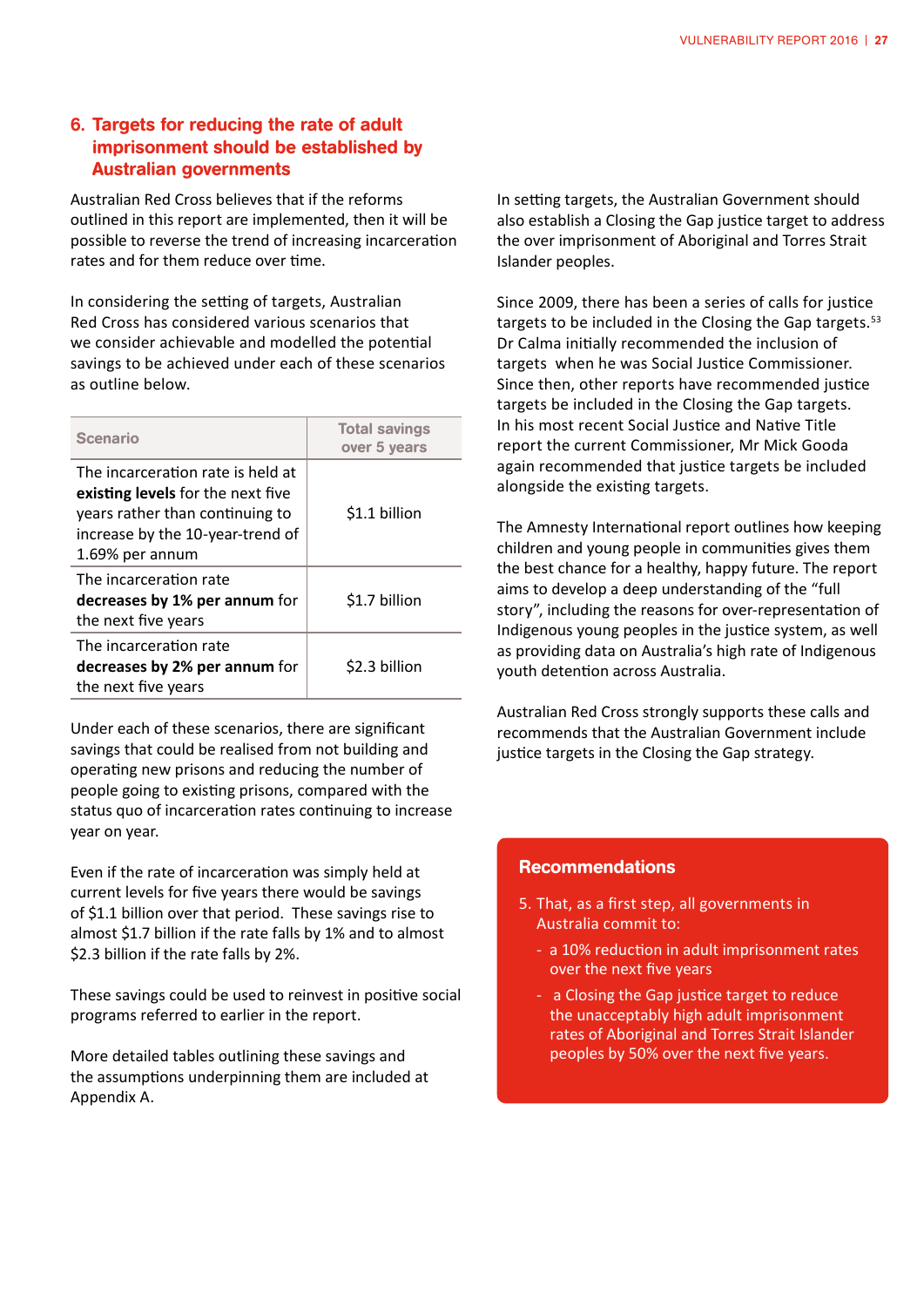#### 6. Targets for reducing the rate of adult imprisonment should be established by Australian governments

Australian Red Cross believes that if the reforms outlined in this report are implemented, then it will be possible to reverse the trend of increasing incarceration rates and for them reduce over time.

In considering the setting of targets, Australian Red Cross has considered various scenarios that we consider achievable and modelled the potential savings to be achieved under each of these scenarios as outline below.

| <b>Scenario</b>                                                                                                                                                  | <b>Total savings</b><br>over 5 years |
|------------------------------------------------------------------------------------------------------------------------------------------------------------------|--------------------------------------|
| The incarceration rate is held at<br>existing levels for the next five<br>years rather than continuing to<br>increase by the 10-year-trend of<br>1.69% per annum | \$1.1 billion                        |
| The incarceration rate<br>decreases by 1% per annum for<br>the next five years                                                                                   | \$1.7 billion                        |
| The incarceration rate<br>decreases by 2% per annum for<br>the next five years                                                                                   | \$2.3 billion                        |

Under each of these scenarios, there are significant savings that could be realised from not building and operating new prisons and reducing the number of people going to existing prisons, compared with the status quo of incarceration rates continuing to increase year on year.

Even if the rate of incarceration was simply held at current levels for five years there would be savings of \$1.1 billion over that period. These savings rise to almost \$1.7 billion if the rate falls by 1% and to almost \$2.3 billion if the rate falls by 2%.

These savings could be used to reinvest in positive social programs referred to earlier in the report.

More detailed tables outlining these savings and the assumptions underpinning them are included at Appendix A.

In setting targets, the Australian Government should also establish a Closing the Gap justice target to address the over imprisonment of Aboriginal and Torres Strait Islander peoples.

Since 2009, there has been a series of calls for justice targets to be included in the Closing the Gap targets.<sup>53</sup> Dr Calma initially recommended the inclusion of targets when he was Social Justice Commissioner. Since then, other reports have recommended justice targets be included in the Closing the Gap targets. In his most recent Social Justice and Native Title report the current Commissioner, Mr Mick Gooda again recommended that justice targets be included alongside the existing targets.

The Amnesty International report outlines how keeping children and young people in communities gives them the best chance for a healthy, happy future. The report aims to develop a deep understanding of the "full story", including the reasons for over-representation of Indigenous young peoples in the justice system, as well as providing data on Australia's high rate of Indigenous youth detention across Australia.

Australian Red Cross strongly supports these calls and recommends that the Australian Government include justice targets in the Closing the Gap strategy.

#### Recommendations

- 5. That, as a first step, all governments in Australia commit to:
	- a 10% reduction in adult imprisonment rates over the next five years
	- a Closing the Gap justice target to reduce the unacceptably high adult imprisonment rates of Aboriginal and Torres Strait Islander peoples by 50% over the next five years.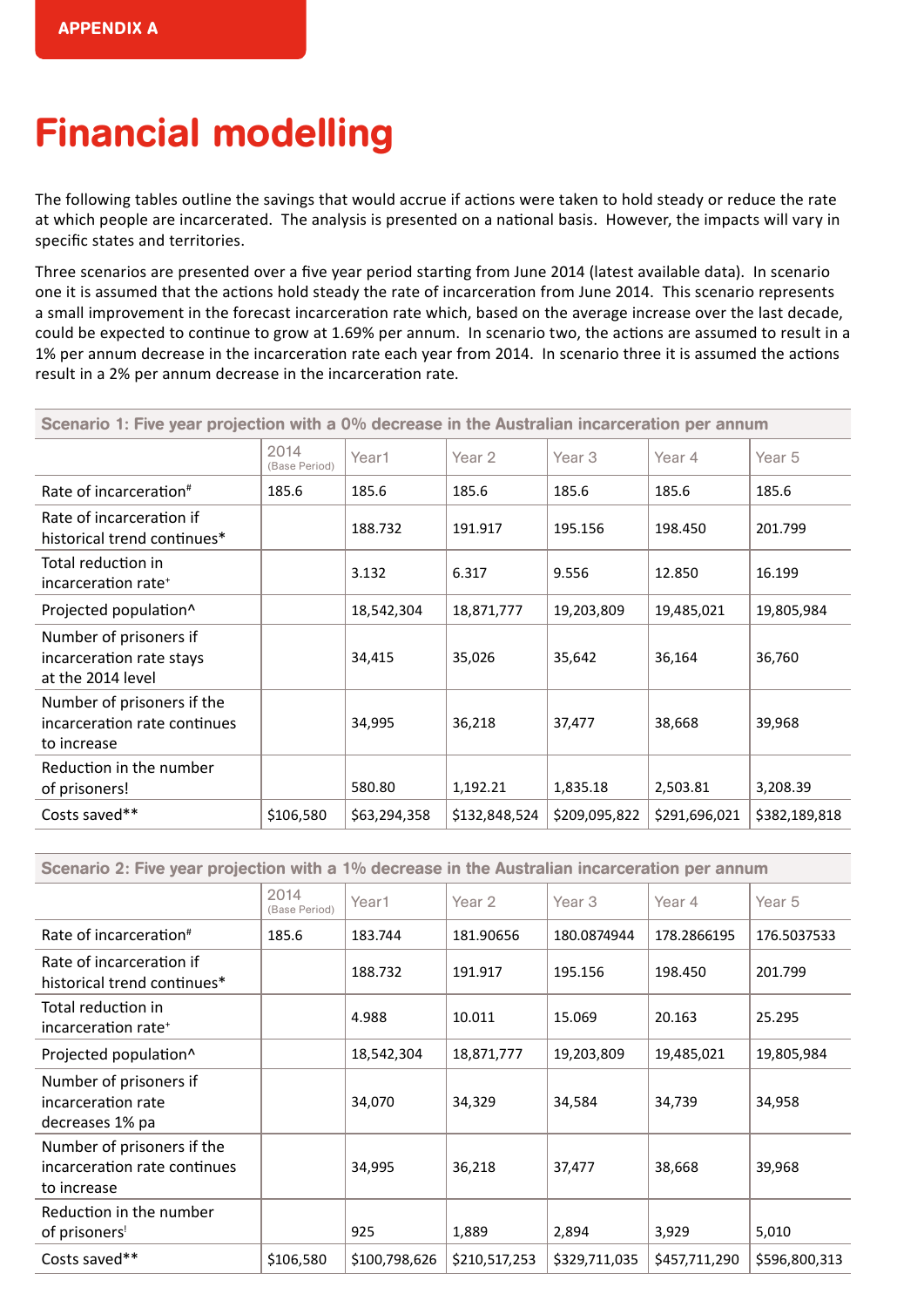## Financial modelling

The following tables outline the savings that would accrue if actions were taken to hold steady or reduce the rate at which people are incarcerated. The analysis is presented on a national basis. However, the impacts will vary in specific states and territories.

Three scenarios are presented over a five year period starting from June 2014 (latest available data). In scenario one it is assumed that the actions hold steady the rate of incarceration from June 2014. This scenario represents a small improvement in the forecast incarceration rate which, based on the average increase over the last decade, could be expected to continue to grow at 1.69% per annum. In scenario two, the actions are assumed to result in a 1% per annum decrease in the incarceration rate each year from 2014. In scenario three it is assumed the actions result in a 2% per annum decrease in the incarceration rate.

| Scenario 1: Five year projection with a 0% decrease in the Australian incarceration per annum |                       |              |               |                   |               |               |
|-----------------------------------------------------------------------------------------------|-----------------------|--------------|---------------|-------------------|---------------|---------------|
|                                                                                               | 2014<br>(Base Period) | Year1        | Year 2        | Year <sub>3</sub> | Year 4        | Year 5        |
| Rate of incarceration#                                                                        | 185.6                 | 185.6        | 185.6         | 185.6             | 185.6         | 185.6         |
| Rate of incarceration if<br>historical trend continues*                                       |                       | 188.732      | 191.917       | 195.156           | 198.450       | 201.799       |
| Total reduction in<br>incarceration rate <sup>+</sup>                                         |                       | 3.132        | 6.317         | 9.556             | 12.850        | 16.199        |
| Projected population^                                                                         |                       | 18,542,304   | 18,871,777    | 19,203,809        | 19,485,021    | 19,805,984    |
| Number of prisoners if<br>incarceration rate stays<br>at the 2014 level                       |                       | 34,415       | 35,026        | 35,642            | 36,164        | 36,760        |
| Number of prisoners if the<br>incarceration rate continues<br>to increase                     |                       | 34,995       | 36,218        | 37,477            | 38,668        | 39,968        |
| Reduction in the number<br>of prisoners!                                                      |                       | 580.80       | 1,192.21      | 1,835.18          | 2,503.81      | 3,208.39      |
| Costs saved**                                                                                 | \$106,580             | \$63,294,358 | \$132,848,524 | \$209,095,822     | \$291,696,021 | \$382,189,818 |

Scenario 2: Five year projection with a 1% decrease in the Australian incarceration per annum

|                                                                           | 2014<br>(Base Period) | Year1         | Year 2        | Year 3        | Year 4        | Year 5        |
|---------------------------------------------------------------------------|-----------------------|---------------|---------------|---------------|---------------|---------------|
| Rate of incarceration <sup>#</sup>                                        | 185.6                 | 183.744       | 181.90656     | 180.0874944   | 178.2866195   | 176.5037533   |
| Rate of incarceration if<br>historical trend continues*                   |                       | 188.732       | 191.917       | 195.156       | 198.450       | 201.799       |
| Total reduction in<br>incarceration rate <sup>+</sup>                     |                       | 4.988         | 10.011        | 15.069        | 20.163        | 25.295        |
| Projected population^                                                     |                       | 18,542,304    | 18,871,777    | 19,203,809    | 19,485,021    | 19,805,984    |
| Number of prisoners if<br>incarceration rate<br>decreases 1% pa           |                       | 34,070        | 34,329        | 34,584        | 34,739        | 34,958        |
| Number of prisoners if the<br>incarceration rate continues<br>to increase |                       | 34,995        | 36,218        | 37,477        | 38,668        | 39,968        |
| Reduction in the number<br>of prisoners!                                  |                       | 925           | 1,889         | 2,894         | 3,929         | 5,010         |
| Costs saved**                                                             | \$106,580             | \$100,798,626 | \$210,517,253 | \$329,711,035 | \$457,711,290 | \$596,800,313 |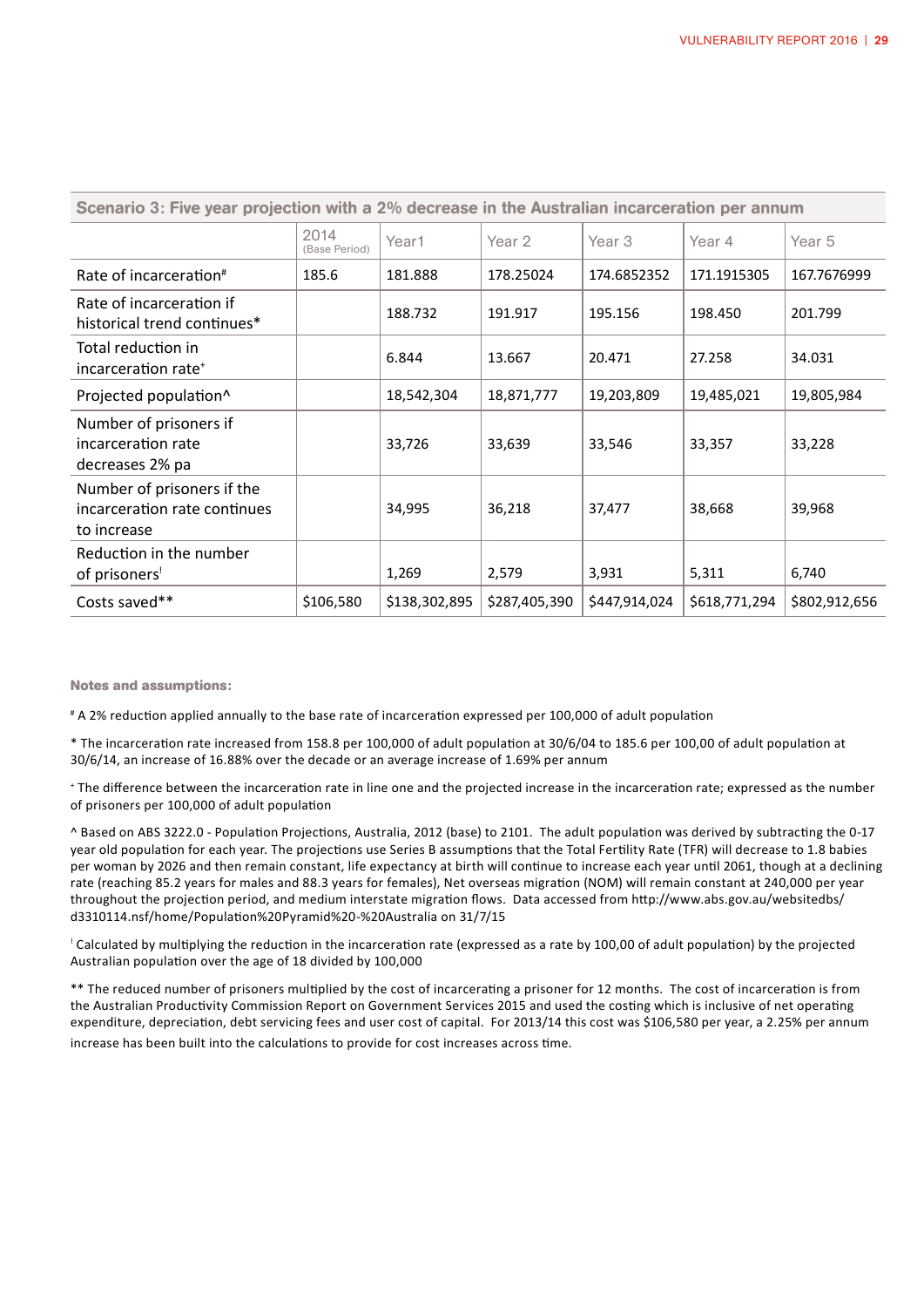| Scenario 3: Five year projection with a 2% decrease in the Australian incarceration per annum |                       |               |               |               |               |               |
|-----------------------------------------------------------------------------------------------|-----------------------|---------------|---------------|---------------|---------------|---------------|
|                                                                                               | 2014<br>(Base Period) | Year1         | Year 2        | Year 3        | Year 4        | Year 5        |
| Rate of incarceration <sup>#</sup>                                                            | 185.6                 | 181.888       | 178.25024     | 174.6852352   | 171.1915305   | 167.7676999   |
| Rate of incarceration if<br>historical trend continues*                                       |                       | 188.732       | 191.917       | 195.156       | 198.450       | 201.799       |
| Total reduction in<br>incarceration rate <sup>+</sup>                                         |                       | 6.844         | 13.667        | 20.471        | 27.258        | 34.031        |
| Projected population^                                                                         |                       | 18,542,304    | 18,871,777    | 19,203,809    | 19,485,021    | 19,805,984    |
| Number of prisoners if<br>incarceration rate<br>decreases 2% pa                               |                       | 33,726        | 33,639        | 33,546        | 33,357        | 33,228        |
| Number of prisoners if the<br>incarceration rate continues<br>to increase                     |                       | 34,995        | 36,218        | 37,477        | 38,668        | 39,968        |
| Reduction in the number<br>of prisoners!                                                      |                       | 1,269         | 2,579         | 3,931         | 5,311         | 6,740         |
| Costs saved**                                                                                 | \$106,580             | \$138,302,895 | \$287,405,390 | \$447,914,024 | \$618,771,294 | \$802,912,656 |

**Notes and assumptions:**

# A 2% reduction applied annually to the base rate of incarceration expressed per 100,000 of adult population

\* The incarceration rate increased from 158.8 per 100,000 of adult population at 30/6/04 to 185.6 per 100,00 of adult population at 30/6/14, an increase of 16.88% over the decade or an average increase of 1.69% per annum

<sup>+</sup> The difference between the incarceration rate in line one and the projected increase in the incarceration rate; expressed as the number of prisoners per 100,000 of adult population

^ Based on ABS 3222.0 - Population Projections, Australia, 2012 (base) to 2101. The adult population was derived by subtracting the 0-17 year old population for each year. The projections use Series B assumptions that the Total Fertility Rate (TFR) will decrease to 1.8 babies per woman by 2026 and then remain constant, life expectancy at birth will continue to increase each year until 2061, though at a declining rate (reaching 85.2 years for males and 88.3 years for females), Net overseas migration (NOM) will remain constant at 240,000 per year throughout the projection period, and medium interstate migration flows. Data accessed from http://www.abs.gov.au/websitedbs/ d3310114.nsf/home/Population%20Pyramid%20-%20Australia on 31/7/15

 $\frac{1}{2}$  Calculated by multiplying the reduction in the incarceration rate (expressed as a rate by 100,00 of adult population) by the projected Australian population over the age of 18 divided by 100,000

\*\* The reduced number of prisoners multiplied by the cost of incarcerating a prisoner for 12 months. The cost of incarceration is from the Australian Productivity Commission Report on Government Services 2015 and used the costing which is inclusive of net operating expenditure, depreciation, debt servicing fees and user cost of capital. For 2013/14 this cost was \$106,580 per year, a 2.25% per annum increase has been built into the calculations to provide for cost increases across time.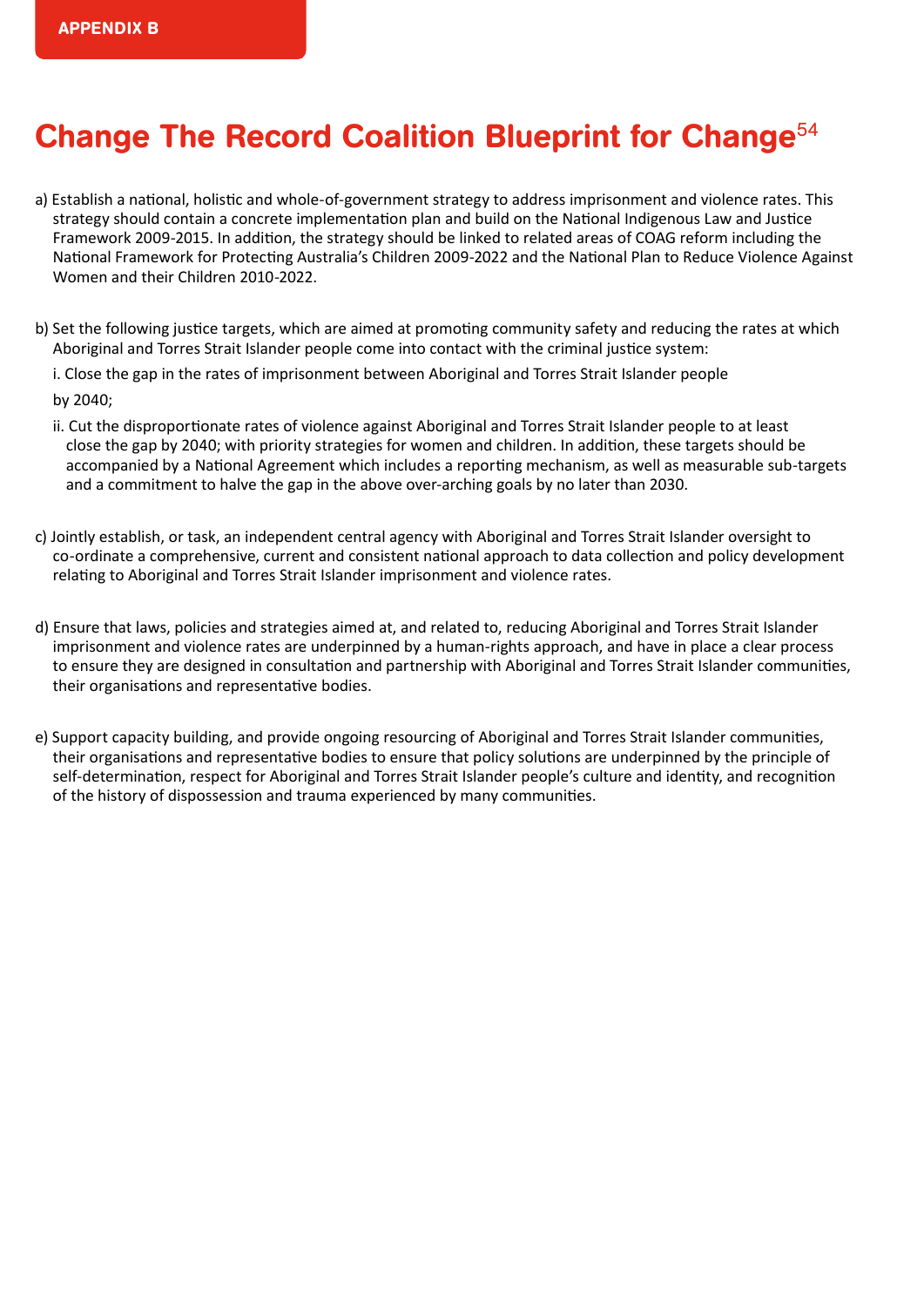## Change The Record Coalition Blueprint for Change<sup>54</sup>

- a) Establish a national, holistic and whole-of-government strategy to address imprisonment and violence rates. This strategy should contain a concrete implementation plan and build on the National Indigenous Law and Justice Framework 2009-2015. In addition, the strategy should be linked to related areas of COAG reform including the National Framework for Protecting Australia's Children 2009-2022 and the National Plan to Reduce Violence Against Women and their Children 2010-2022.
- b) Set the following justice targets, which are aimed at promoting community safety and reducing the rates at which Aboriginal and Torres Strait Islander people come into contact with the criminal justice system:
	- i. Close the gap in the rates of imprisonment between Aboriginal and Torres Strait Islander people

by 2040;

- ii. Cut the disproportionate rates of violence against Aboriginal and Torres Strait Islander people to at least close the gap by 2040; with priority strategies for women and children. In addition, these targets should be accompanied by a National Agreement which includes a reporting mechanism, as well as measurable sub-targets and a commitment to halve the gap in the above over-arching goals by no later than 2030.
- c) Jointly establish, or task, an independent central agency with Aboriginal and Torres Strait Islander oversight to co-ordinate a comprehensive, current and consistent national approach to data collection and policy development relating to Aboriginal and Torres Strait Islander imprisonment and violence rates.
- d) Ensure that laws, policies and strategies aimed at, and related to, reducing Aboriginal and Torres Strait Islander imprisonment and violence rates are underpinned by a human-rights approach, and have in place a clear process to ensure they are designed in consultation and partnership with Aboriginal and Torres Strait Islander communities, their organisations and representative bodies.
- e) Support capacity building, and provide ongoing resourcing of Aboriginal and Torres Strait Islander communities, their organisations and representative bodies to ensure that policy solutions are underpinned by the principle of self-determination, respect for Aboriginal and Torres Strait Islander people's culture and identity, and recognition of the history of dispossession and trauma experienced by many communities.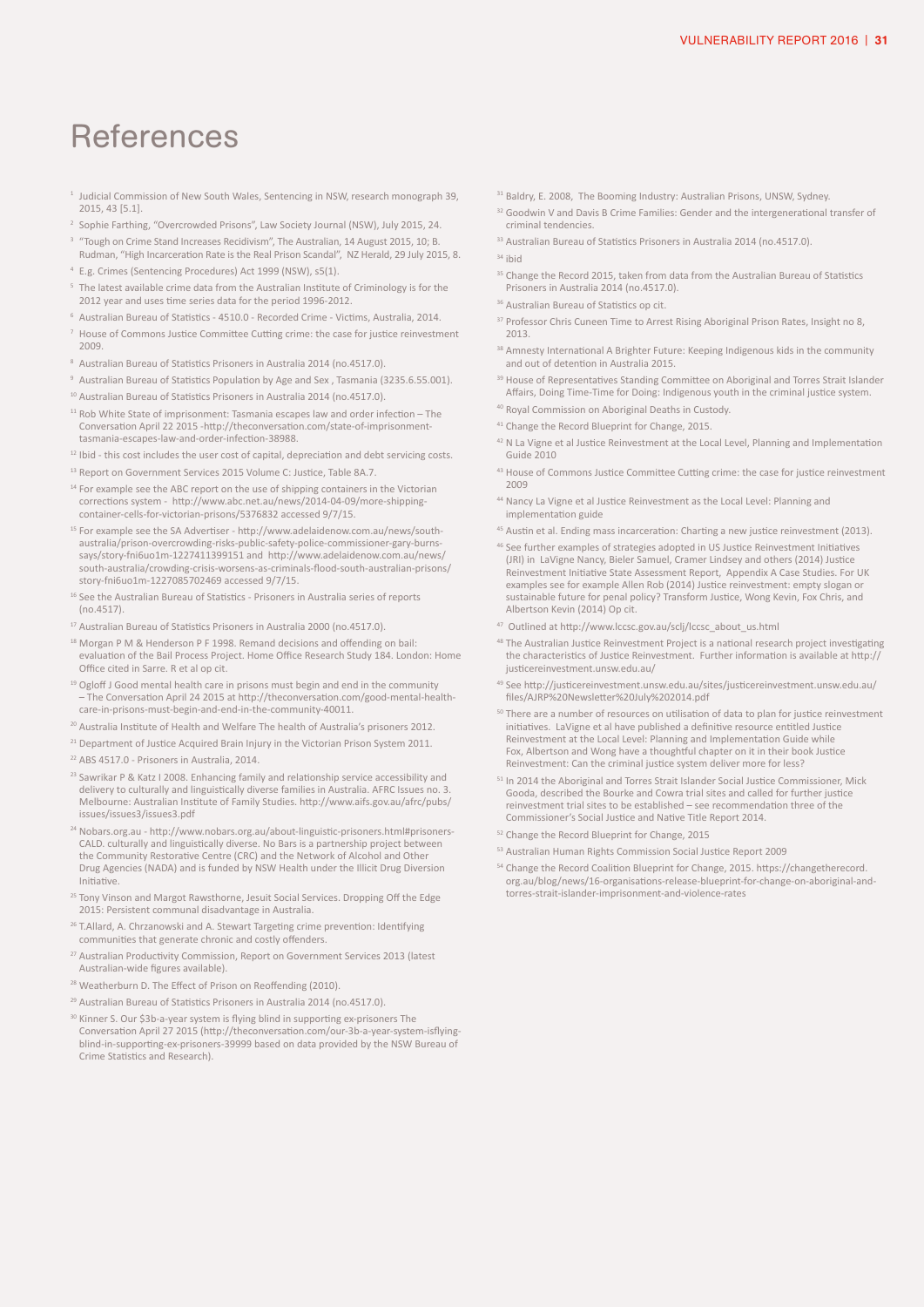### References

- <sup>1</sup> Judicial Commission of New South Wales, Sentencing in NSW, research monograph 39, 2015, 43 [5.1].
- <sup>2</sup> Sophie Farthing, "Overcrowded Prisons", Law Society Journal (NSW), July 2015, 24.
- <sup>3</sup> "Tough on Crime Stand Increases Recidivism", The Australian, 14 August 2015, 10; B. Rudman, "High Incarceration Rate is the Real Prison Scandal", NZ Herald, 29 July 2015, 8.
- 4 E.g. Crimes (Sentencing Procedures) Act 1999 (NSW), s5(1).
- The latest available crime data from the Australian Institute of Criminology is for the 2012 year and uses time series data for the period 1996-2012.
- <sup>6</sup> Australian Bureau of Statistics 4510.0 Recorded Crime Victims, Australia, 2014.
- 7 House of Commons Justice Committee Cutting crime: the case for justice reinvestment 2009.
- <sup>8</sup> Australian Bureau of Statistics Prisoners in Australia 2014 (no.4517.0).
- <sup>9</sup> Australian Bureau of Statistics Population by Age and Sex, Tasmania (3235.6.55.001).
- <sup>10</sup> Australian Bureau of Statistics Prisoners in Australia 2014 (no.4517.0).
- $11$  Rob White State of imprisonment: Tasmania escapes law and order infection The Conversation April 22 2015 -http://theconversation.com/state-of-imprisonmenttasmania-escapes-law-and-order-infection-38988.
- <sup>12</sup> Ibid this cost includes the user cost of capital, depreciation and debt servicing costs.
- <sup>13</sup> Report on Government Services 2015 Volume C: Justice, Table 8A.7.
- <sup>14</sup> For example see the ABC report on the use of shipping containers in the Victorian corrections system - http://www.abc.net.au/news/2014-04-09/more-shippingcontainer-cells-for-victorian-prisons/5376832 accessed 9/7/15.
- <sup>15</sup> For example see the SA Advertiser http://www.adelaidenow.com.au/news/southaustralia/prison-overcrowding-risks-public-safety-police-commissioner-gary-burnssays/story-fni6uo1m-1227411399151 and http://www.adelaidenow.com.au/news/ south-australia/crowding-crisis-worsens-as-criminals-flood-south-australian-prisons/ story-fni6uo1m-1227085702469 accessed 9/7/15.
- <sup>16</sup> See the Australian Bureau of Statistics Prisoners in Australia series of reports (no.4517).
- <sup>17</sup> Australian Bureau of Statistics Prisoners in Australia 2000 (no.4517.0).
- <sup>18</sup> Morgan P M & Henderson P F 1998. Remand decisions and offending on bail: evaluation of the Bail Process Project. Home Office Research Study 184. London: Home Office cited in Sarre. R et al op cit.
- <sup>19</sup> Ogloff J Good mental health care in prisons must begin and end in the community – The Conversation April 24 2015 at http://theconversation.com/good-mental-healthcare-in-prisons-must-begin-and-end-in-the-community-40011.
- <sup>20</sup> Australia Institute of Health and Welfare The health of Australia's prisoners 2012.
- <sup>21</sup> Department of Justice Acquired Brain Injury in the Victorian Prison System 2011.
- 22 ABS 4517.0 Prisoners in Australia, 2014.
- <sup>23</sup> Sawrikar P & Katz I 2008. Enhancing family and relationship service accessibility and delivery to culturally and linguistically diverse families in Australia. AFRC Issues no. 3. Melbourne: Australian Institute of Family Studies. http://www.aifs.gov.au/afrc/pubs/ issues/issues3/issues3.pdf
- <sup>24</sup> Nobars.org.au http://www.nobars.org.au/about-linguistic-prisoners.html#prisoners-CALD. culturally and linguistically diverse. No Bars is a partnership project between the Community Restorative Centre (CRC) and the Network of Alcohol and Other Drug Agencies (NADA) and is funded by NSW Health under the Illicit Drug Diversion Initiative.
- <sup>25</sup> Tony Vinson and Margot Rawsthorne, Jesuit Social Services. Dropping Off the Edge 2015: Persistent communal disadvantage in Australia.
- <sup>26</sup> T.Allard, A. Chrzanowski and A. Stewart Targeting crime prevention: Identifying communities that generate chronic and costly offenders.
- <sup>27</sup> Australian Productivity Commission, Report on Government Services 2013 (latest Australian-wide figures available).
- <sup>28</sup> Weatherburn D. The Effect of Prison on Reoffending (2010).
- <sup>29</sup> Australian Bureau of Statistics Prisoners in Australia 2014 (no.4517.0).
- 30 Kinner S. Our \$3b-a-year system is flying blind in supporting ex-prisoners The Conversation April 27 2015 (http://theconversation.com/our-3b-a-year-system-isflyingblind-in-supporting-ex-prisoners-39999 based on data provided by the NSW Bureau of Crime Statistics and Research).
- <sup>31</sup> Baldry, E. 2008, The Booming Industry: Australian Prisons, UNSW, Sydney.
- <sup>32</sup> Goodwin V and Davis B Crime Families: Gender and the intergenerational transfer of criminal tendencies.
- 33 Australian Bureau of Statistics Prisoners in Australia 2014 (no.4517.0).
- <sup>34</sup> ibid
- <sup>35</sup> Change the Record 2015, taken from data from the Australian Bureau of Statistics Prisoners in Australia 2014 (no.4517.0).
- <sup>36</sup> Australian Bureau of Statistics op cit.
- <sup>37</sup> Professor Chris Cuneen Time to Arrest Rising Aboriginal Prison Rates, Insight no 8, 2013.
- 38 Amnesty International A Brighter Future: Keeping Indigenous kids in the community and out of detention in Australia 2015.
- <sup>39</sup> House of Representatives Standing Committee on Aboriginal and Torres Strait Islander Affairs, Doing Time-Time for Doing: Indigenous youth in the criminal justice system.
- <sup>40</sup> Royal Commission on Aboriginal Deaths in Custody.
- <sup>41</sup> Change the Record Blueprint for Change, 2015.
- <sup>42</sup> N La Vigne et al Justice Reinvestment at the Local Level, Planning and Implementation Guide 2010
- 43 House of Commons Justice Committee Cutting crime: the case for justice reinvestment 2009
- 44 Nancy La Vigne et al Justice Reinvestment as the Local Level: Planning and implementation guide
- 45 Austin et al. Ending mass incarceration: Charting a new justice reinvestment (2013).
- 46 See further examples of strategies adopted in US Justice Reinvestment Initiatives (JRI) in LaVigne Nancy, Bieler Samuel, Cramer Lindsey and others (2014) Justice Reinvestment Initiative State Assessment Report, Appendix A Case Studies. For UK examples see for example Allen Rob (2014) Justice reinvestment: empty slogan or sustainable future for penal policy? Transform Justice, Wong Kevin, Fox Chris, and Albertson Kevin (2014) Op cit.
- <sup>47</sup> Outlined at http://www.lccsc.gov.au/sclj/lccsc\_about\_us.html
- 48 The Australian Justice Reinvestment Project is a national research project investigating the characteristics of Justice Reinvestment. Further information is available at http:// justicereinvestment.unsw.edu.au/
- 49 See http://justicereinvestment.unsw.edu.au/sites/justicereinvestment.unsw.edu.au/ files/AJRP%20Newsletter%20July%202014.pdf
- <sup>50</sup> There are a number of resources on utilisation of data to plan for justice reinvestment initiatives. LaVigne et al have published a definitive resource entitled Justice Reinvestment at the Local Level: Planning and Implementation Guide while Fox, Albertson and Wong have a thoughtful chapter on it in their book Justice Reinvestment: Can the criminal justice system deliver more for less?
- <sup>51</sup> In 2014 the Aboriginal and Torres Strait Islander Social Justice Commissioner, Mick Gooda, described the Bourke and Cowra trial sites and called for further justice reinvestment trial sites to be established – see recommendation three of the Commissioner's Social Justice and Native Title Report 2014.
- <sup>52</sup> Change the Record Blueprint for Change, 2015
- 53 Australian Human Rights Commission Social Justice Report 2009
- <sup>54</sup> Change the Record Coalition Blueprint for Change, 2015. https://changetherecord. org.au/blog/news/16-organisations-release-blueprint-for-change-on-aboriginal-andtorres-strait-islander-imprisonment-and-violence-rates